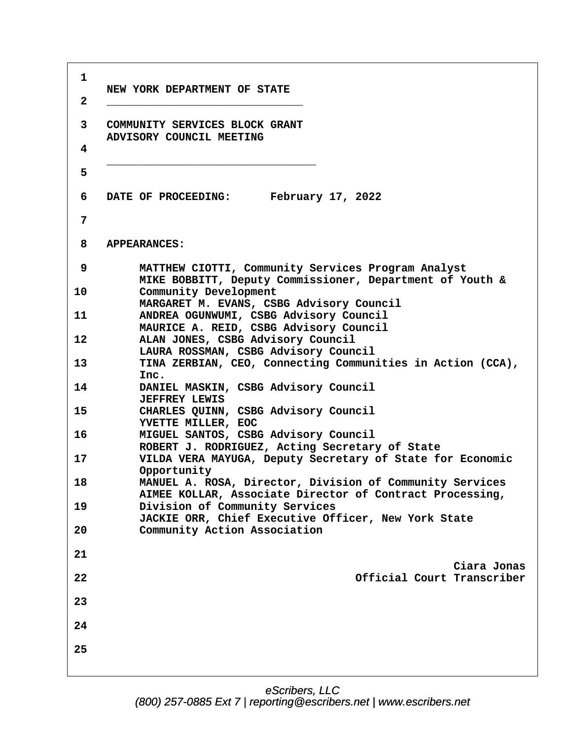| $\mathbf 1$             |                                                                                                                |
|-------------------------|----------------------------------------------------------------------------------------------------------------|
| $\overline{\mathbf{2}}$ | NEW YORK DEPARTMENT OF STATE                                                                                   |
| 3                       | COMMUNITY SERVICES BLOCK GRANT<br>ADVISORY COUNCIL MEETING                                                     |
| 4                       |                                                                                                                |
| 5                       |                                                                                                                |
| 6                       | February 17, 2022<br>DATE OF PROCEEDING:                                                                       |
| 7                       |                                                                                                                |
| 8                       | <b>APPEARANCES:</b>                                                                                            |
| 9                       | MATTHEW CIOTTI, Community Services Program Analyst<br>MIKE BOBBITT, Deputy Commissioner, Department of Youth & |
| 10                      | Community Development<br>MARGARET M. EVANS, CSBG Advisory Council                                              |
| 11                      | ANDREA OGUNWUMI, CSBG Advisory Council<br>MAURICE A. REID, CSBG Advisory Council                               |
| 12                      | ALAN JONES, CSBG Advisory Council<br>LAURA ROSSMAN, CSBG Advisory Council                                      |
| 13                      | TINA ZERBIAN, CEO, Connecting Communities in Action (CCA),<br>Inc.                                             |
| 14                      | DANIEL MASKIN, CSBG Advisory Council<br><b>JEFFREY LEWIS</b>                                                   |
| 15                      | CHARLES QUINN, CSBG Advisory Council<br>YVETTE MILLER, EOC                                                     |
| 16                      | MIGUEL SANTOS, CSBG Advisory Council<br>ROBERT J. RODRIGUEZ, Acting Secretary of State                         |
| 17                      | VILDA VERA MAYUGA, Deputy Secretary of State for Economic<br>Opportunity                                       |
| 18                      | MANUEL A. ROSA, Director, Division of Community Services                                                       |
| 19                      | AIMEE KOLLAR, Associate Director of Contract Processing,<br>Division of Community Services                     |
| 20                      | JACKIE ORR, Chief Executive Officer, New York State<br>Community Action Association                            |
| 21                      |                                                                                                                |
| 22                      | Ciara Jonas<br>Official Court Transcriber                                                                      |
| 23                      |                                                                                                                |
| 24                      |                                                                                                                |
| 25                      |                                                                                                                |
|                         |                                                                                                                |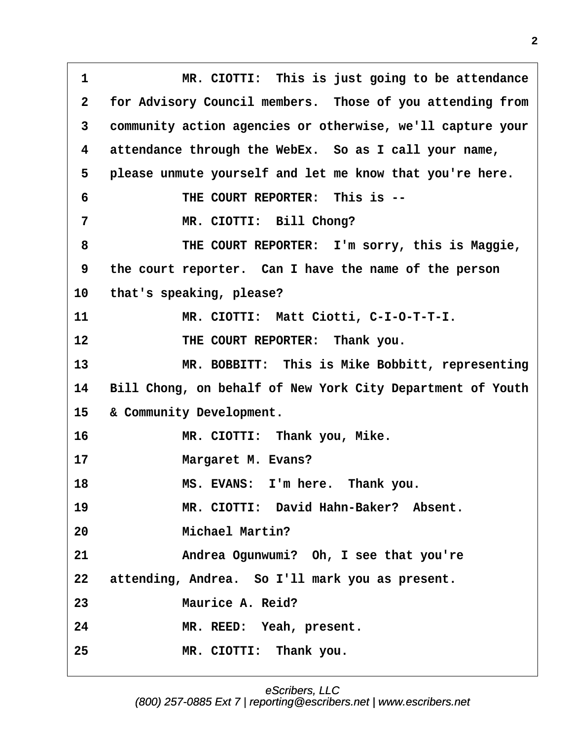<span id="page-1-0"></span>**·1· · · · · · ·MR. CIOTTI:· This is just going to be attendance ·2· ·for Advisory Council members.· Those of you attending from ·3· ·community action agencies or otherwise, we'll capture your ·4· ·attendance through the WebEx.· So as I call your name, ·5· ·please unmute yourself and let me know that you're here. ·6· · · · · · ·THE COURT REPORTER:· This is -- ·7· · · · · · ·MR. CIOTTI:· Bill Chong? ·8· · · · · · ·THE COURT REPORTER:· I'm sorry, this is Maggie, ·9· ·the court reporter.· Can I have the name of the person 10· ·that's speaking, please?** 11 MR. CIOTTI: Matt Ciotti, C-I-O-T-T-I. **12· · · · · · ·THE COURT REPORTER:· Thank you. 13· · · · · · ·MR. BOBBITT:· This is Mike Bobbitt, representing 14· ·Bill Chong, on behalf of New York City Department of Youth** 15 & Community Development. 16 **MR. CIOTTI:** Thank you, Mike. **17· · · · · · ·Margaret M. Evans? 18· · · · · · ·MS. EVANS:· I'm here.· Thank you. 19· · · · · · ·MR. CIOTTI:· David Hahn-Baker?· Absent. 20· · · · · · ·Michael Martin? 21· · · · · · ·Andrea Ogunwumi?· Oh, I see that you're** 22 attending, Andrea. So I'll mark you as present. **23· · · · · · ·Maurice A. Reid? 24· · · · · · ·MR. REED:· Yeah, present. 25· · · · · · ·MR. CIOTTI:· Thank you.**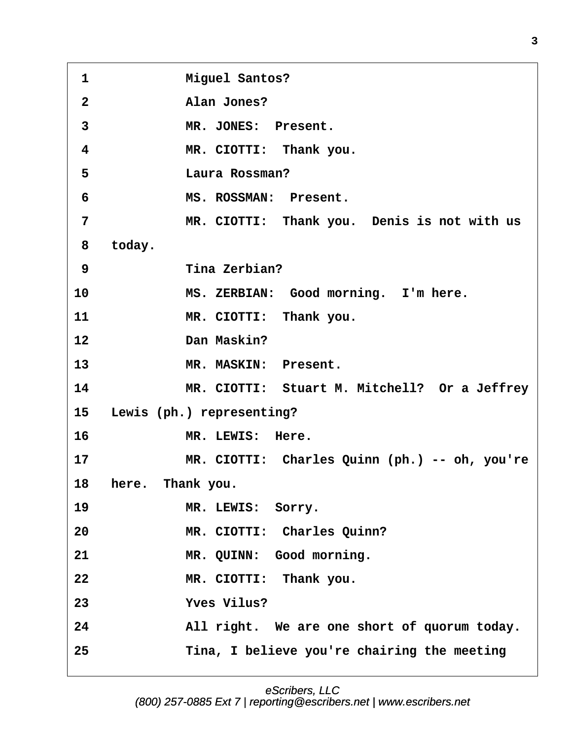<span id="page-2-0"></span>**·1· · · · · · ·Miguel Santos? ·2· · · · · · ·Alan Jones?** 3 MR. JONES: Present. **·4· · · · · · ·MR. CIOTTI:· Thank you. ·5· · · · · · ·Laura Rossman? ·6· · · · · · ·MS. ROSSMAN:· Present. ·7· · · · · · ·MR. CIOTTI:· Thank you.· Denis is not with us ·8· ·today. ·9· · · · · · ·Tina Zerbian?** 10 MS. ZERBIAN: Good morning. I'm here. 11 **MR. CIOTTI:** Thank you. **12· · · · · · ·Dan Maskin?** 13 **MR. MASKIN: Present. 14· · · · · · ·MR. CIOTTI:· Stuart M. Mitchell?· Or a Jeffrey** 15 Lewis (ph.) representing? 16 **MR. LEWIS: Here.** 17 **MR. CIOTTI: Charles Quinn (ph.) -- oh, you're** 18 here. Thank you. 19 **MR. LEWIS: Sorry.** 20 **MR. CIOTTI: Charles Quinn?** 21 MR. QUINN: Good morning. **22· · · · · · ·MR. CIOTTI:· Thank you. 23· · · · · · ·Yves Vilus? 24· · · · · · ·All right.· We are one short of quorum today. 25· · · · · · ·Tina, I believe you're chairing the meeting**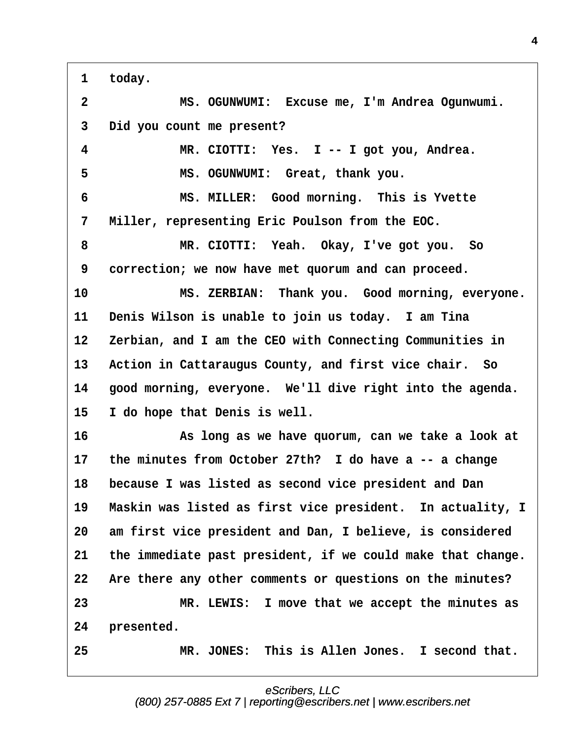<span id="page-3-0"></span>1 today. **·2· · · · · · ·MS. OGUNWUMI:· Excuse me, I'm Andrea Ogunwumi. ·3· ·Did you count me present? ·4· · · · · · ·MR. CIOTTI:· Yes.· I -- I got you, Andrea. ·5· · · · · · ·MS. OGUNWUMI:· Great, thank you. ·6· · · · · · ·MS. MILLER:· Good morning.· This is Yvette ·7· ·Miller, representing Eric Poulson from the EOC. ·8· · · · · · ·MR. CIOTTI:· Yeah.· Okay, I've got you.· So ·9· ·correction; we now have met quorum and can proceed. 10· · · · · · ·MS. ZERBIAN:· Thank you.· Good morning, everyone. 11· ·Denis Wilson is unable to join us today.· I am Tina** 12 **Zerbian, and I am the CEO with Connecting Communities in** 13 Action in Cattaraugus County, and first vice chair. So 14 **good morning, everyone.** We'll dive right into the agenda. 15 I do hope that Denis is well. **16· · · · · · ·As long as we have quorum, can we take a look at 17· ·the minutes from October 27th?· I do have a -- a change 18· ·because I was listed as second vice president and Dan** 19 Maskin was listed as first vice president. In actuality, I 20 am first vice president and Dan, I believe, is considered **21· ·the immediate past president, if we could make that change. 22· ·Are there any other comments or questions on the minutes? 23· · · · · · ·MR. LEWIS:· I move that we accept the minutes as** 24 **presented. 25· · · · · · ·MR. JONES:· This is Allen Jones.· I second that.**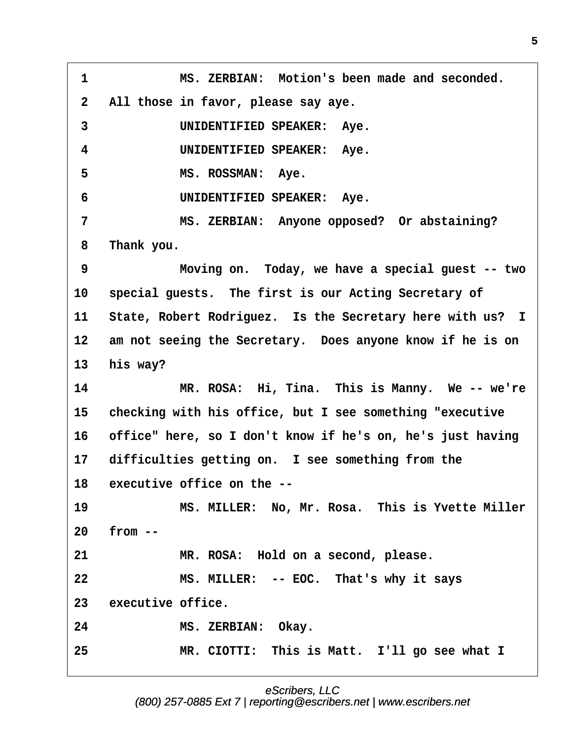<span id="page-4-0"></span>1 **1 1** *MS. ZERBIAN:* **Motion's been made and seconded. ·2· ·All those in favor, please say aye.** 3 **· · · · · · UNIDENTIFIED SPEAKER:** Aye. 4 **· · · · · · UNIDENTIFIED SPEAKER: Ave. ·5· · · · · · ·MS. ROSSMAN:· Aye. ·6· · · · · · ·UNIDENTIFIED SPEAKER:· Aye. ·7· · · · · · ·MS. ZERBIAN:· Anyone opposed?· Or abstaining? ·8· ·Thank you. ·9· · · · · · ·Moving on.· Today, we have a special guest -- two** 10 special guests. The first is our Acting Secretary of 11 State, Robert Rodriguez. Is the Secretary here with us? I 12 am not seeing the Secretary. Does anyone know if he is on 13 **his way? 14· · · · · · ·MR. ROSA:· Hi, Tina.· This is Manny.· We -- we're** 15 checking with his office, but I see something "executive **16· ·office" here, so I don't know if he's on, he's just having 17· ·difficulties getting on.· I see something from the 18· ·executive office on the -- 19· · · · · · ·MS. MILLER:· No, Mr. Rosa.· This is Yvette Miller 20· ·from -- 21· · · · · · ·MR. ROSA:· Hold on a second, please. 22· · · · · · ·MS. MILLER:· -- EOC.· That's why it says** 23 executive office. 24 **MS. ZERBIAN: Okay. 25· · · · · · ·MR. CIOTTI:· This is Matt.· I'll go see what I**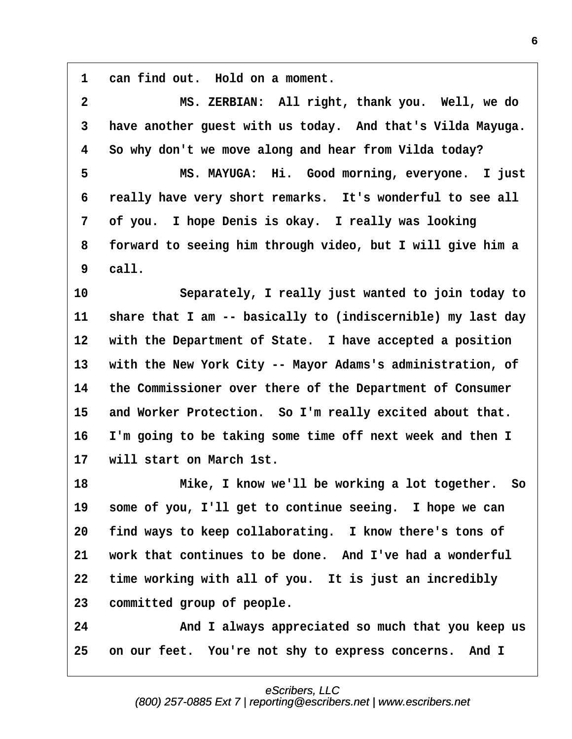<span id="page-5-0"></span>1 can find out. Hold on a moment.

| MS. ZERBIAN: All right, thank you. Well, we do              |
|-------------------------------------------------------------|
| have another guest with us today. And that's Vilda Mayuga.  |
| So why don't we move along and hear from Vilda today?       |
| MS. MAYUGA: Hi. Good morning, everyone. I just              |
| really have very short remarks. It's wonderful to see all   |
| of you. I hope Denis is okay. I really was looking          |
| forward to seeing him through video, but I will give him a  |
| call.                                                       |
| Separately, I really just wanted to join today to           |
| share that I am -- basically to (indiscernible) my last day |
| with the Department of State. I have accepted a position    |
| with the New York City -- Mayor Adams's administration, of  |
| the Commissioner over there of the Department of Consumer   |
| and Worker Protection. So I'm really excited about that.    |
| I'm going to be taking some time off next week and then I   |
| will start on March 1st.                                    |
| Mike, I know we'll be working a lot together. So            |
| some of you, I'll get to continue seeing. I hope we can     |
| find ways to keep collaborating. I know there's tons of     |
| work that continues to be done. And I've had a wonderful    |
| time working with all of you. It is just an incredibly      |
| committed group of people.                                  |
| And I always appreciated so much that you keep us           |
| on our feet. You're not shy to express concerns. And I      |
|                                                             |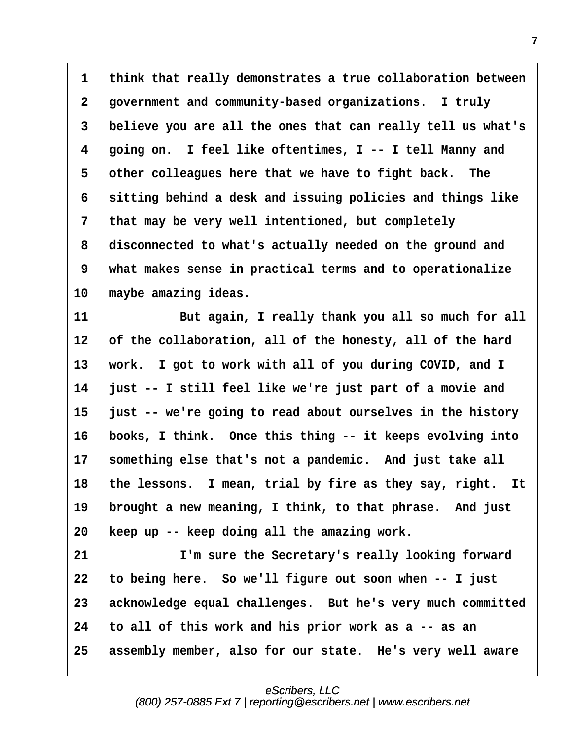<span id="page-6-0"></span>**·1· ·think that really demonstrates a true collaboration between ·2· ·government and community-based organizations.· I truly ·3· ·believe you are all the ones that can really tell us what's ·4· ·going on.· I feel like oftentimes, I -- I tell Manny and** 5 other colleagues here that we have to fight back. The **·6· ·sitting behind a desk and issuing policies and things like ·7· ·that may be very well intentioned, but completely ·8· ·disconnected to what's actually needed on the ground and ·9· ·what makes sense in practical terms and to operationalize** 10 maybe amazing ideas.

**11· · · · · · ·But again, I really thank you all so much for all 12· ·of the collaboration, all of the honesty, all of the hard** 13 work. I got to work with all of you during COVID, and I **14· ·just -- I still feel like we're just part of a movie and 15· ·just -- we're going to read about ourselves in the history** 16 books, I think. Once this thing -- it keeps evolving into 17 something else that's not a pandemic. And just take all 18 the lessons. I mean, trial by fire as they say, right. It 19 brought a new meaning, I think, to that phrase. And just **20· ·keep up -- keep doing all the amazing work.**

**21· · · · · · ·I'm sure the Secretary's really looking forward 22· ·to being here.· So we'll figure out soon when -- I just 23· ·acknowledge equal challenges.· But he's very much committed 24· ·to all of this work and his prior work as a -- as an** 25 assembly member, also for our state. He's very well aware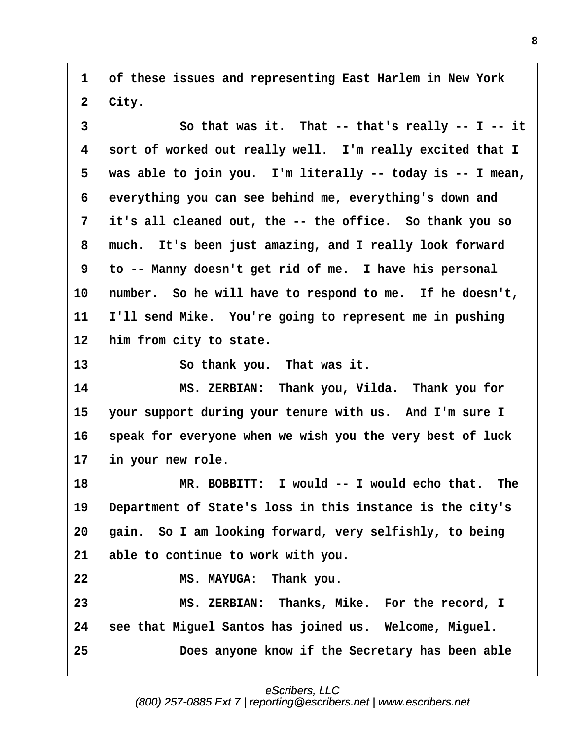<span id="page-7-0"></span>**·1· ·of these issues and representing East Harlem in New York** 2 City.

**·3· · · · · · ·So that was it.· That -- that's really -- I -- it ·4· ·sort of worked out really well.· I'm really excited that I ·5· ·was able to join you.· I'm literally -- today is -- I mean, ·6· ·everything you can see behind me, everything's down and ·7· ·it's all cleaned out, the -- the office.· So thank you so ·8· ·much.· It's been just amazing, and I really look forward ·9· ·to -- Manny doesn't get rid of me.· I have his personal** 10 number. So he will have to respond to me. If he doesn't, **11· ·I'll send Mike.· You're going to represent me in pushing** 12 him from city to state.

13 · · · · · So thank you. That was it.

**14· · · · · · ·MS. ZERBIAN:· Thank you, Vilda.· Thank you for** 15 your support during your tenure with us. And I'm sure I 16 speak for everyone when we wish you the very best of luck 17 **in your new role.** 

**18· · · · · · ·MR. BOBBITT:· I would -- I would echo that.· The** 19 Department of State's loss in this instance is the city's 20 **gain.** So I am looking forward, very selfishly, to being **21· ·able to continue to work with you.**

**22· · · · · · ·MS. MAYUGA:· Thank you.**

**23· · · · · · ·MS. ZERBIAN:· Thanks, Mike.· For the record, I** 24 see that Miguel Santos has joined us. Welcome, Miguel. **25· · · · · · ·Does anyone know if the Secretary has been able**

eScribers, LLC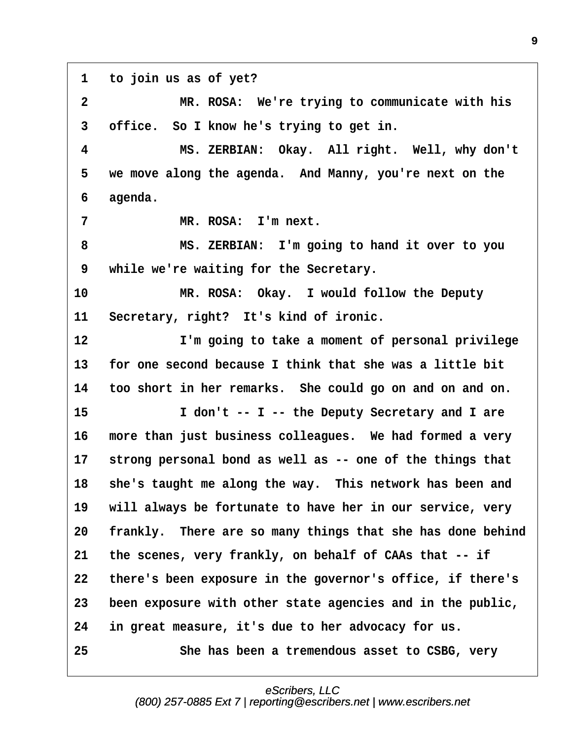<span id="page-8-0"></span>**·1· ·to join us as of yet? ·2· · · · · · ·MR. ROSA:· We're trying to communicate with his ·3· ·office.· So I know he's trying to get in. ·4· · · · · · ·MS. ZERBIAN:· Okay.· All right.· Well, why don't** 5 we move along the agenda. And Manny, you're next on the **·6· ·agenda.** 7 MR. ROSA: I'm next. **·8· · · · · · ·MS. ZERBIAN:· I'm going to hand it over to you ·9· ·while we're waiting for the Secretary.** 10 **MR. ROSA:** Okay. I would follow the Deputy 11 Secretary, right? It's kind of ironic. **12· · · · · · ·I'm going to take a moment of personal privilege 13· ·for one second because I think that she was a little bit 14· ·too short in her remarks.· She could go on and on and on.** 15 **· · · · ·** I -- the Deputy Secretary and I are 16 more than just business colleagues. We had formed a very **17· ·strong personal bond as well as -- one of the things that** 18 she's taught me along the way. This network has been and 19 **will always be fortunate to have her in our service, very** 20 frankly. There are so many things that she has done behind **21· ·the scenes, very frankly, on behalf of CAAs that -- if 22· ·there's been exposure in the governor's office, if there's 23· ·been exposure with other state agencies and in the public, 24· ·in great measure, it's due to her advocacy for us. 25· · · · · · ·She has been a tremendous asset to CSBG, very**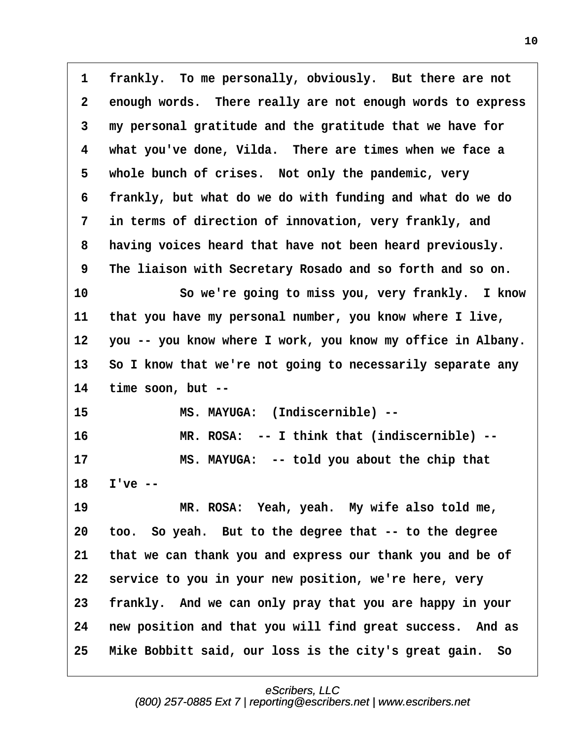<span id="page-9-0"></span>1 frankly. To me personally, obviously. But there are not **·2· ·enough words.· There really are not enough words to express ·3· ·my personal gratitude and the gratitude that we have for ·4· ·what you've done, Vilda.· There are times when we face a ·5· ·whole bunch of crises.· Not only the pandemic, very ·6· ·frankly, but what do we do with funding and what do we do ·7· ·in terms of direction of innovation, very frankly, and ·8· ·having voices heard that have not been heard previously. ·9· ·The liaison with Secretary Rosado and so forth and so on. 10· · · · · · ·So we're going to miss you, very frankly.· I know 11· ·that you have my personal number, you know where I live,** 12 you -- you know where I work, you know my office in Albany. 13 So I know that we're not going to necessarily separate any **14· ·time soon, but -- 15· · · · · · ·MS. MAYUGA:· (Indiscernible) --** 16 **MR. ROSA:** -- I think that (indiscernible) --**17· · · · · · ·MS. MAYUGA:· -- told you about the chip that 18· ·I've --** 19 **8 19 • MR. ROSA:** Yeah, yeah. My wife also told me, **20· ·too.· So yeah.· But to the degree that -- to the degree 21· ·that we can thank you and express our thank you and be of** 22 service to you in your new position, we're here, very **23· ·frankly.· And we can only pray that you are happy in your 24· ·new position and that you will find great success.· And as 25· ·Mike Bobbitt said, our loss is the city's great gain.· So**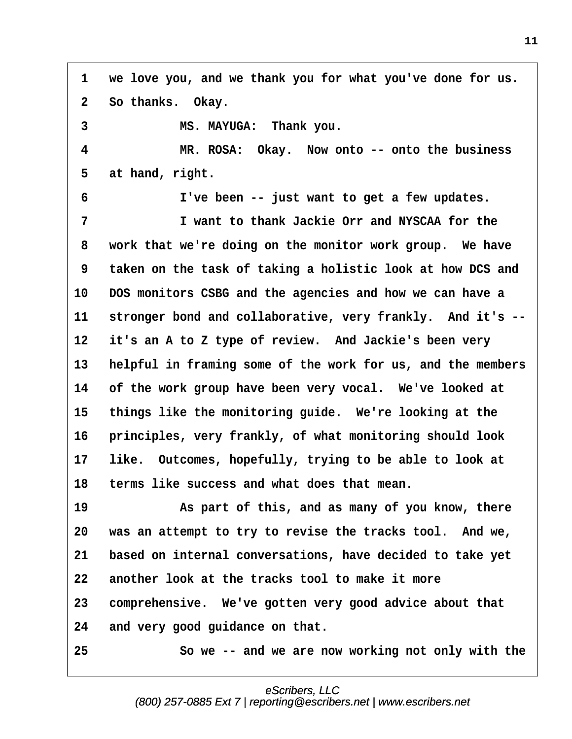<span id="page-10-0"></span>**·1· ·we love you, and we thank you for what you've done for us. ·2· ·So thanks.· Okay. ·3· · · · · · ·MS. MAYUGA:· Thank you. ·4· · · · · · ·MR. ROSA:· Okay.· Now onto -- onto the business** 5 at hand, right. **·6· · · · · · ·I've been -- just want to get a few updates. ·7· · · · · · ·I want to thank Jackie Orr and NYSCAA for the ·8· ·work that we're doing on the monitor work group.· We have ·9· ·taken on the task of taking a holistic look at how DCS and 10· ·DOS monitors CSBG and the agencies and how we can have a** 11 stronger bond and collaborative, very frankly. And it's --12 it's an A to Z type of review. And Jackie's been very **13· ·helpful in framing some of the work for us, and the members 14· ·of the work group have been very vocal.· We've looked at** 15 things like the monitoring guide. We're looking at the 16 **principles, very frankly, of what monitoring should look** 17 like. Outcomes, hopefully, trying to be able to look at 18 terms like success and what does that mean. **19· · · · · · ·As part of this, and as many of you know, there 20· ·was an attempt to try to revise the tracks tool.· And we, 21· ·based on internal conversations, have decided to take yet 22· ·another look at the tracks tool to make it more 23· ·comprehensive.· We've gotten very good advice about that** 24 and very good guidance on that. **25· · · · · · ·So we -- and we are now working not only with the**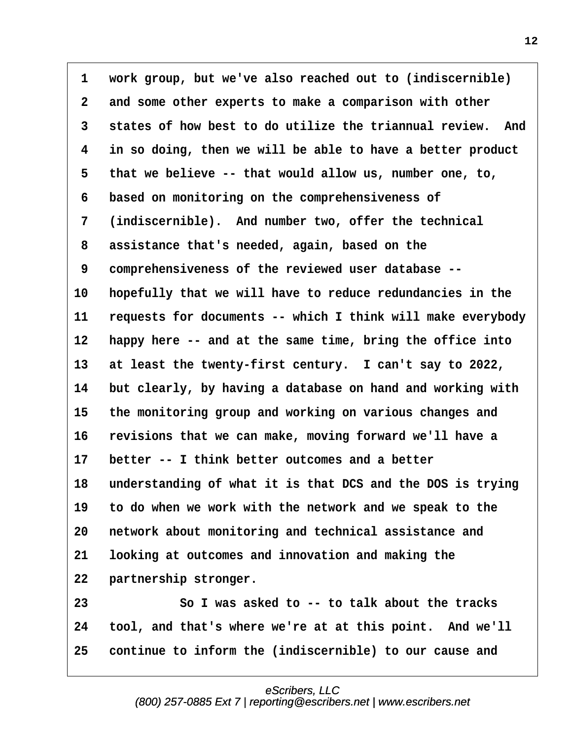<span id="page-11-0"></span>**·1· ·work group, but we've also reached out to (indiscernible) ·2· ·and some other experts to make a comparison with other ·3· ·states of how best to do utilize the triannual review.· And ·4· ·in so doing, then we will be able to have a better product ·5· ·that we believe -- that would allow us, number one, to, ·6· ·based on monitoring on the comprehensiveness of ·7· ·(indiscernible).· And number two, offer the technical ·8· ·assistance that's needed, again, based on the ·9· ·comprehensiveness of the reviewed user database -- 10· ·hopefully that we will have to reduce redundancies in the** 11 requests for documents -- which I think will make everybody 12 happy here -- and at the same time, bring the office into 13 at least the twenty-first century. I can't say to 2022, **14· ·but clearly, by having a database on hand and working with 15· ·the monitoring group and working on various changes and 16· ·revisions that we can make, moving forward we'll have a 17· ·better -- I think better outcomes and a better 18· ·understanding of what it is that DCS and the DOS is trying 19· ·to do when we work with the network and we speak to the 20· ·network about monitoring and technical assistance and 21· ·looking at outcomes and innovation and making the** 22 **partnership stronger. 23· · · · · · ·So I was asked to -- to talk about the tracks** 24 tool, and that's where we're at at this point. And we'll

**25· ·continue to inform the (indiscernible) to our cause and**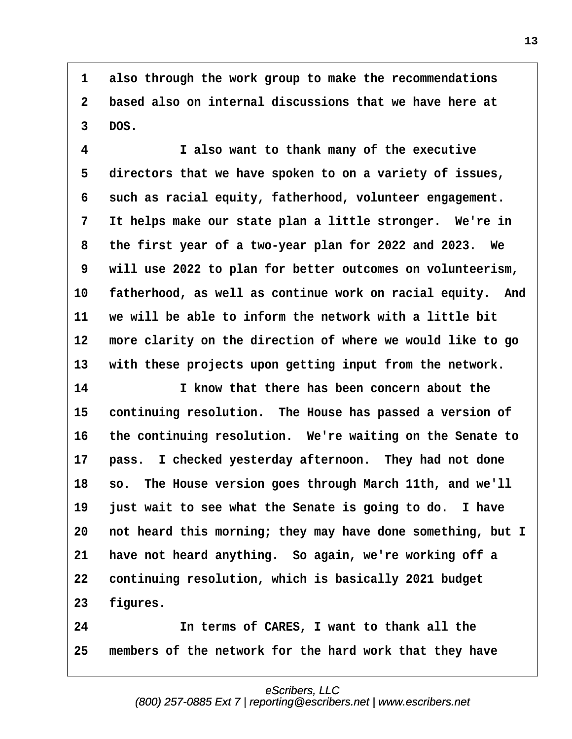<span id="page-12-0"></span>**·1· ·also through the work group to make the recommendations ·2· ·based also on internal discussions that we have here at ·3· ·DOS.**

**·4· · · · · · ·I also want to thank many of the executive ·5· ·directors that we have spoken to on a variety of issues, ·6· ·such as racial equity, fatherhood, volunteer engagement. ·7· ·It helps make our state plan a little stronger.· We're in ·8· ·the first year of a two-year plan for 2022 and 2023.· We ·9· ·will use 2022 to plan for better outcomes on volunteerism,** 10 fatherhood, as well as continue work on racial equity. And **11· ·we will be able to inform the network with a little bit** 12 more clarity on the direction of where we would like to go 13 with these projects upon getting input from the network.

**14· · · · · · ·I know that there has been concern about the** 15 continuing resolution. The House has passed a version of **16· ·the continuing resolution.· We're waiting on the Senate to** 17 **pass.** I checked yesterday afternoon. They had not done 18 so. The House version goes through March 11th, and we'll 19 **just wait to see what the Senate is going to do.** I have **20· ·not heard this morning; they may have done something, but I 21· ·have not heard anything.· So again, we're working off a 22· ·continuing resolution, which is basically 2021 budget** 23 figures.

**24· · · · · · ·In terms of CARES, I want to thank all the 25· ·members of the network for the hard work that they have**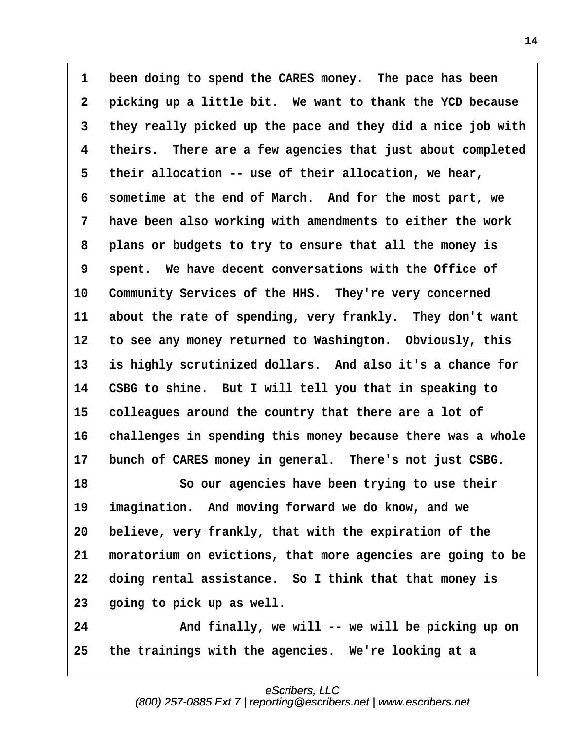<span id="page-13-0"></span>1 been doing to spend the CARES money. The pace has been **·2· ·picking up a little bit.· We want to thank the YCD because ·3· ·they really picked up the pace and they did a nice job with ·4· ·theirs.· There are a few agencies that just about completed ·5· ·their allocation -- use of their allocation, we hear, ·6· ·sometime at the end of March.· And for the most part, we ·7· ·have been also working with amendments to either the work ·8· ·plans or budgets to try to ensure that all the money is ·9· ·spent.· We have decent conversations with the Office of** 10 Community Services of the HHS. They're very concerned 11 about the rate of spending, very frankly. They don't want 12 to see any money returned to Washington. Obviously, this 13 is highly scrutinized dollars. And also it's a chance for 14 CSBG to shine. But I will tell you that in speaking to 15 colleagues around the country that there are a lot of 16 challenges in spending this money because there was a whole 17 bunch of CARES money in general. There's not just CSBG. 18 **80 So our agencies have been trying to use their 19· ·imagination.· And moving forward we do know, and we** 20 believe, very frankly, that with the expiration of the **21· ·moratorium on evictions, that more agencies are going to be**

22 doing rental assistance. So I think that that money is 23 **going to pick up as well.** 

**24· · · · · · ·And finally, we will -- we will be picking up on 25· ·the trainings with the agencies.· We're looking at a**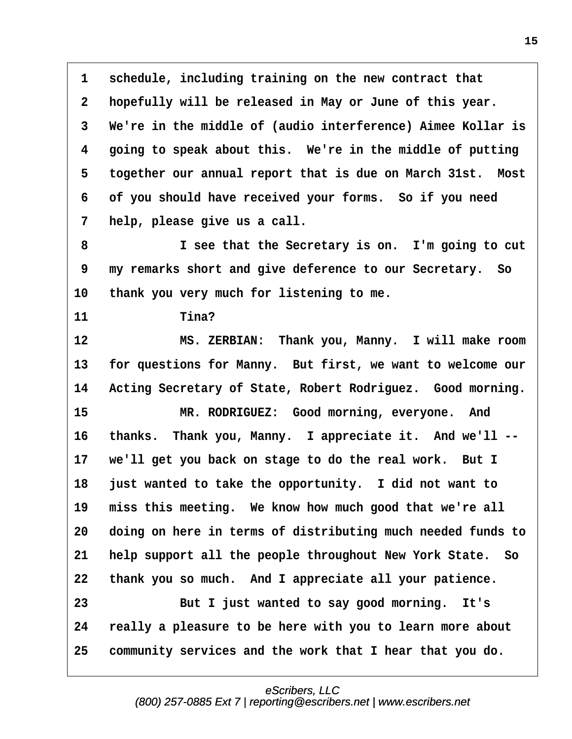<span id="page-14-0"></span>**·1· ·schedule, including training on the new contract that ·2· ·hopefully will be released in May or June of this year. ·3· ·We're in the middle of (audio interference) Aimee Kollar is ·4· ·going to speak about this.· We're in the middle of putting ·5· ·together our annual report that is due on March 31st.· Most ·6· ·of you should have received your forms.· So if you need ·7· ·help, please give us a call.**

**·8· · · · · · ·I see that the Secretary is on.· I'm going to cut ·9· ·my remarks short and give deference to our Secretary.· So** 10 thank you very much for listening to me.

**11· · · · · · ·Tina?**

**12· · · · · · ·MS. ZERBIAN:· Thank you, Manny.· I will make room** 13 for questions for Manny. But first, we want to welcome our 14 Acting Secretary of State, Robert Rodriguez. Good morning.

**15· · · · · · ·MR. RODRIGUEZ:· Good morning, everyone.· And** 16 thanks. Thank you, Manny. I appreciate it. And we'll --17 we'll get you back on stage to do the real work. But I **18· ·just wanted to take the opportunity.· I did not want to** 19 miss this meeting. We know how much good that we're all **20· ·doing on here in terms of distributing much needed funds to 21· ·help support all the people throughout New York State.· So 22· ·thank you so much.· And I appreciate all your patience. 23· · · · · · ·But I just wanted to say good morning.· It's**

**24· ·really a pleasure to be here with you to learn more about 25· ·community services and the work that I hear that you do.**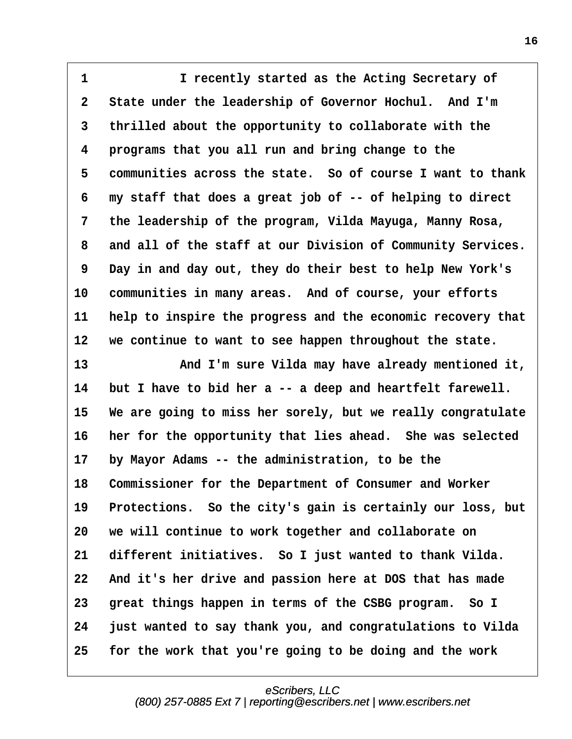<span id="page-15-0"></span>**·1· · · · · · ·I recently started as the Acting Secretary of ·2· ·State under the leadership of Governor Hochul.· And I'm ·3· ·thrilled about the opportunity to collaborate with the ·4· ·programs that you all run and bring change to the ·5· ·communities across the state.· So of course I want to thank ·6· ·my staff that does a great job of -- of helping to direct ·7· ·the leadership of the program, Vilda Mayuga, Manny Rosa, ·8· ·and all of the staff at our Division of Community Services. ·9· ·Day in and day out, they do their best to help New York's** 10 communities in many areas. And of course, your efforts **11· ·help to inspire the progress and the economic recovery that** 12 we continue to want to see happen throughout the state.

13 • **13** And I'm sure Vilda may have already mentioned it, **14· ·but I have to bid her a -- a deep and heartfelt farewell.** 15 We are going to miss her sorely, but we really congratulate 16 her for the opportunity that lies ahead. She was selected **17· ·by Mayor Adams -- the administration, to be the** 18 Commissioner for the Department of Consumer and Worker 19 Protections. So the city's gain is certainly our loss, but **20· ·we will continue to work together and collaborate on** 21 different initiatives. So I just wanted to thank Vilda. **22· ·And it's her drive and passion here at DOS that has made** 23 great things happen in terms of the CSBG program. So I **24· ·just wanted to say thank you, and congratulations to Vilda 25· ·for the work that you're going to be doing and the work**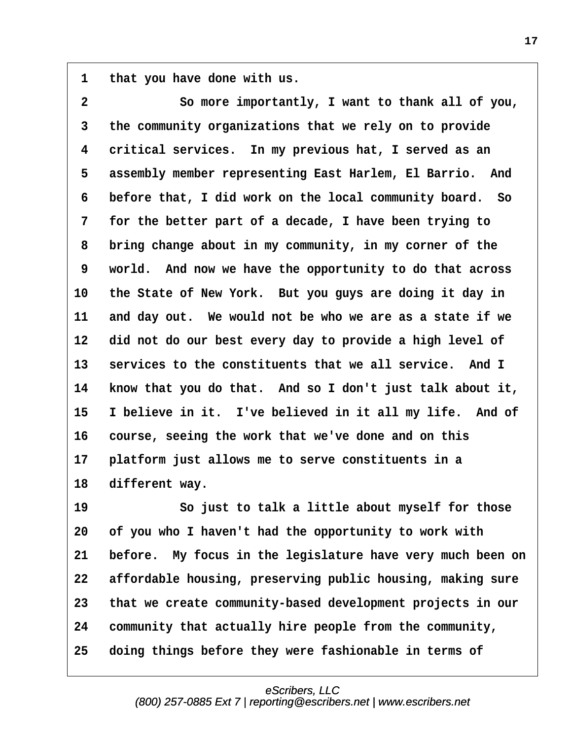<span id="page-16-0"></span>1 that you have done with us.

**·2· · · · · · ·So more importantly, I want to thank all of you, ·3· ·the community organizations that we rely on to provide ·4· ·critical services.· In my previous hat, I served as an ·5· ·assembly member representing East Harlem, El Barrio.· And ·6· ·before that, I did work on the local community board.· So ·7· ·for the better part of a decade, I have been trying to ·8· ·bring change about in my community, in my corner of the ·9· ·world.· And now we have the opportunity to do that across** 10 the State of New York. But you guys are doing it day in **11· ·and day out.· We would not be who we are as a state if we** 12 did not do our best every day to provide a high level of 13 services to the constituents that we all service. And I **14· ·know that you do that.· And so I don't just talk about it, 15· ·I believe in it.· I've believed in it all my life.· And of** 16 course, seeing the work that we've done and on this **17· ·platform just allows me to serve constituents in a** 18 different way.

19 **80 Sout Sout to talk a little about myself for those 20· ·of you who I haven't had the opportunity to work with** 21 before. My focus in the legislature have very much been on 22 affordable housing, preserving public housing, making sure **23· ·that we create community-based development projects in our 24· ·community that actually hire people from the community, 25· ·doing things before they were fashionable in terms of**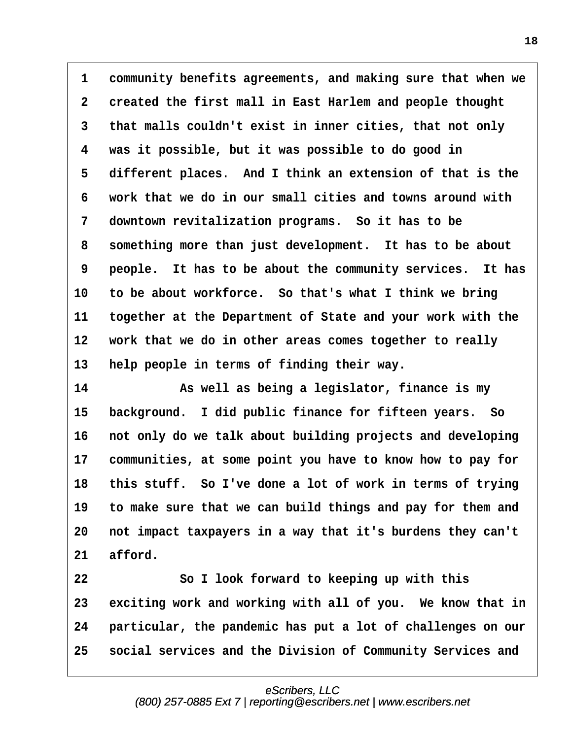<span id="page-17-0"></span>**·1· ·community benefits agreements, and making sure that when we ·2· ·created the first mall in East Harlem and people thought ·3· ·that malls couldn't exist in inner cities, that not only ·4· ·was it possible, but it was possible to do good in** 5 different places. And I think an extension of that is the **·6· ·work that we do in our small cities and towns around with ·7· ·downtown revitalization programs.· So it has to be ·8· ·something more than just development.· It has to be about ·9· ·people.· It has to be about the community services.· It has 10· ·to be about workforce.· So that's what I think we bring 11· ·together at the Department of State and your work with the** 12 work that we do in other areas comes together to really 13 help people in terms of finding their way.

**14· · · · · · ·As well as being a legislator, finance is my** 15 background. I did public finance for fifteen years. So **16· ·not only do we talk about building projects and developing 17· ·communities, at some point you have to know how to pay for 18· ·this stuff.· So I've done a lot of work in terms of trying 19· ·to make sure that we can build things and pay for them and 20· ·not impact taxpayers in a way that it's burdens they can't** 21 afford.

**22· · · · · · ·So I look forward to keeping up with this** 23 exciting work and working with all of you. We know that in 24 **· particular, the pandemic has put a lot of challenges on our 25· ·social services and the Division of Community Services and**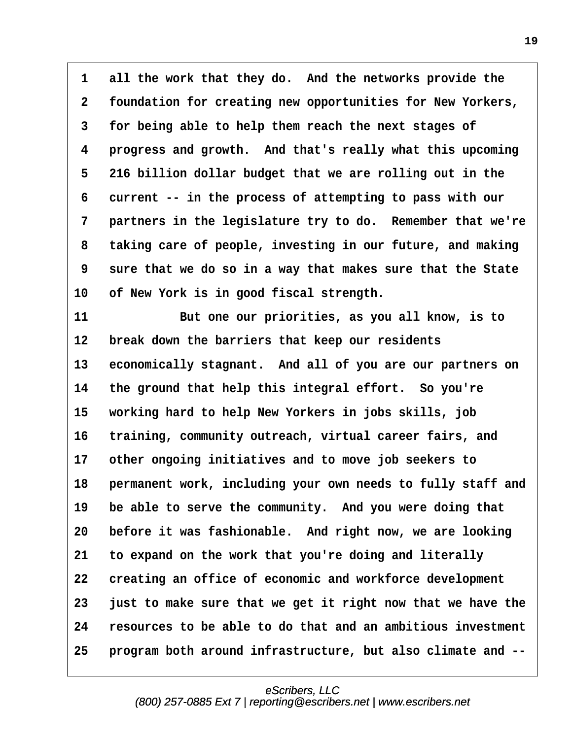<span id="page-18-0"></span>1 all the work that they do. And the networks provide the **·2· ·foundation for creating new opportunities for New Yorkers, ·3· ·for being able to help them reach the next stages of ·4· ·progress and growth.· And that's really what this upcoming ·5· ·216 billion dollar budget that we are rolling out in the ·6· ·current -- in the process of attempting to pass with our ·7· ·partners in the legislature try to do.· Remember that we're ·8· ·taking care of people, investing in our future, and making ·9· ·sure that we do so in a way that makes sure that the State** 10 of New York is in good fiscal strength.

**11· · · · · · ·But one our priorities, as you all know, is to 12· ·break down the barriers that keep our residents** 13 economically stagnant. And all of you are our partners on **14· ·the ground that help this integral effort.· So you're 15· ·working hard to help New Yorkers in jobs skills, job** 16 training, community outreach, virtual career fairs, and **17· ·other ongoing initiatives and to move job seekers to** 18 **· permanent work, including your own needs to fully staff and** 19 be able to serve the community. And you were doing that 20 before it was fashionable. And right now, we are looking **21· ·to expand on the work that you're doing and literally 22· ·creating an office of economic and workforce development 23· ·just to make sure that we get it right now that we have the 24· ·resources to be able to do that and an ambitious investment 25· ·program both around infrastructure, but also climate and --**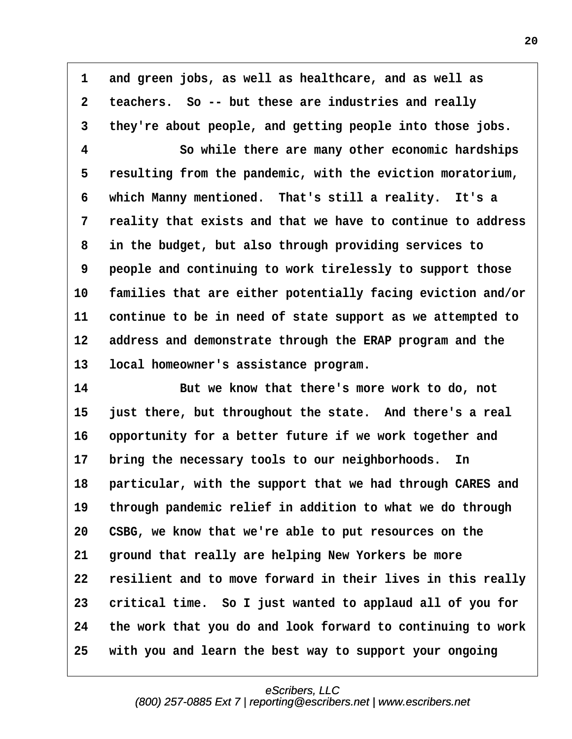<span id="page-19-0"></span>**·1· ·and green jobs, as well as healthcare, and as well as ·2· ·teachers.· So -- but these are industries and really ·3· ·they're about people, and getting people into those jobs.**

**·4· · · · · · ·So while there are many other economic hardships ·5· ·resulting from the pandemic, with the eviction moratorium, ·6· ·which Manny mentioned.· That's still a reality.· It's a ·7· ·reality that exists and that we have to continue to address ·8· ·in the budget, but also through providing services to ·9· ·people and continuing to work tirelessly to support those** 10 **families that are either potentially facing eviction and/or 11· ·continue to be in need of state support as we attempted to** 12 address and demonstrate through the ERAP program and the 13 local homeowner's assistance program.

**14· · · · · · ·But we know that there's more work to do, not** 15 just there, but throughout the state. And there's a real 16 opportunity for a better future if we work together and 17 bring the necessary tools to our neighborhoods. In 18 **particular, with the support that we had through CARES and** 19 through pandemic relief in addition to what we do through **20· ·CSBG, we know that we're able to put resources on the** 21 *ground that really are helping New Yorkers be more* **22· ·resilient and to move forward in their lives in this really 23· ·critical time.· So I just wanted to applaud all of you for 24· ·the work that you do and look forward to continuing to work 25· ·with you and learn the best way to support your ongoing**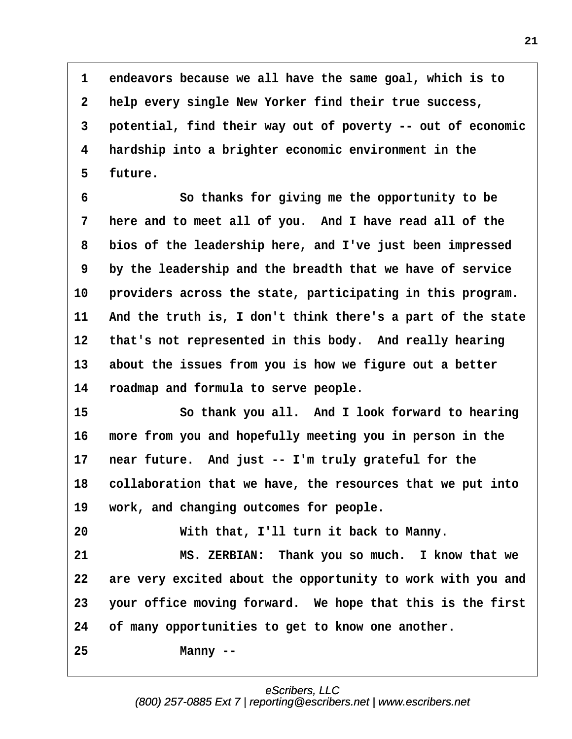<span id="page-20-0"></span>**·1· ·endeavors because we all have the same goal, which is to ·2· ·help every single New Yorker find their true success, ·3· ·potential, find their way out of poverty -- out of economic ·4· ·hardship into a brighter economic environment in the ·5· ·future.**

**·6· · · · · · ·So thanks for giving me the opportunity to be ·7· ·here and to meet all of you.· And I have read all of the ·8· ·bios of the leadership here, and I've just been impressed ·9· ·by the leadership and the breadth that we have of service** 10 **providers across the state, participating in this program. 11· ·And the truth is, I don't think there's a part of the state** 12 that's not represented in this body. And really hearing 13 about the issues from you is how we figure out a better **14· ·roadmap and formula to serve people.**

**15· · · · · · ·So thank you all.· And I look forward to hearing 16· ·more from you and hopefully meeting you in person in the 17· ·near future.· And just -- I'm truly grateful for the 18· ·collaboration that we have, the resources that we put into** 19 work, and changing outcomes for people.

**20· · · · · · ·With that, I'll turn it back to Manny.**

**21· · · · · · ·MS. ZERBIAN:· Thank you so much.· I know that we 22· ·are very excited about the opportunity to work with you and 23· ·your office moving forward.· We hope that this is the first 24· ·of many opportunities to get to know one another. 25· · · · · · ·Manny --**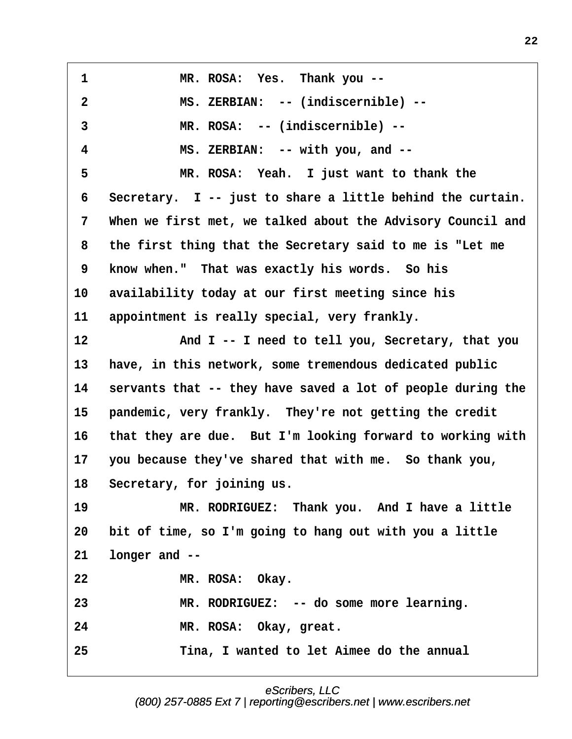<span id="page-21-0"></span>**·1· · · · · · ·MR. ROSA:· Yes.· Thank you -- ·2· · · · · · ·MS. ZERBIAN:· -- (indiscernible) --** 3 MR. ROSA: -- (indiscernible) --**·4· · · · · · ·MS. ZERBIAN:· -- with you, and -- ·5· · · · · · ·MR. ROSA:· Yeah.· I just want to thank the ·6· ·Secretary.· I -- just to share a little behind the curtain. ·7· ·When we first met, we talked about the Advisory Council and ·8· ·the first thing that the Secretary said to me is "Let me ·9· ·know when."· That was exactly his words.· So his** 10 availability today at our first meeting since his 11 appointment is really special, very frankly. 12 **and I -- I need to tell you, Secretary, that you** 13 have, in this network, some tremendous dedicated public **14· ·servants that -- they have saved a lot of people during the** 15 **pandemic, very frankly.** They're not getting the credit **16· ·that they are due.· But I'm looking forward to working with 17· ·you because they've shared that with me.· So thank you,** 18 **Secretary, for joining us. 19· · · · · · ·MR. RODRIGUEZ:· Thank you.· And I have a little 20· ·bit of time, so I'm going to hang out with you a little 21· ·longer and --** 22 MR. ROSA: Okay. **23· · · · · · ·MR. RODRIGUEZ:· -- do some more learning. 24· · · · · · ·MR. ROSA:· Okay, great. 25· · · · · · ·Tina, I wanted to let Aimee do the annual**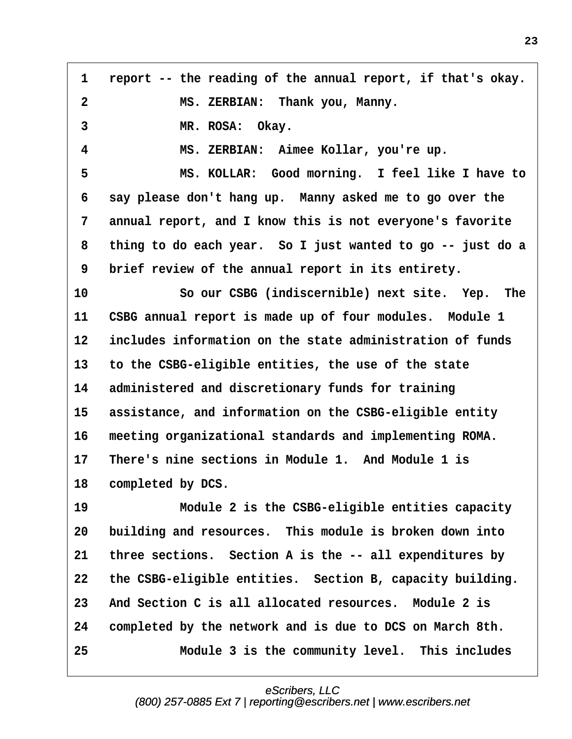<span id="page-22-0"></span>**·1· ·report -- the reading of the annual report, if that's okay. ·2· · · · · · ·MS. ZERBIAN:· Thank you, Manny.** 3 MR. ROSA: Okay. **·4· · · · · · ·MS. ZERBIAN:· Aimee Kollar, you're up. ·5· · · · · · ·MS. KOLLAR:· Good morning.· I feel like I have to ·6· ·say please don't hang up.· Manny asked me to go over the ·7· ·annual report, and I know this is not everyone's favorite ·8· ·thing to do each year.· So I just wanted to go -- just do a ·9· ·brief review of the annual report in its entirety. 10· · · · · · ·So our CSBG (indiscernible) next site.· Yep.· The** 11 CSBG annual report is made up of four modules. Module 1 **12· ·includes information on the state administration of funds 13· ·to the CSBG-eligible entities, the use of the state 14· ·administered and discretionary funds for training** 15 assistance, and information on the CSBG-eligible entity 16 meeting organizational standards and implementing ROMA. **17· ·There's nine sections in Module 1.· And Module 1 is** 18 completed by DCS. **19· · · · · · ·Module 2 is the CSBG-eligible entities capacity 20· ·building and resources.· This module is broken down into** 21 three sections. Section A is the -- all expenditures by 22 the CSBG-eligible entities. Section B, capacity building. **23· ·And Section C is all allocated resources.· Module 2 is** 24 completed by the network and is due to DCS on March 8th. **25· · · · · · ·Module 3 is the community level.· This includes**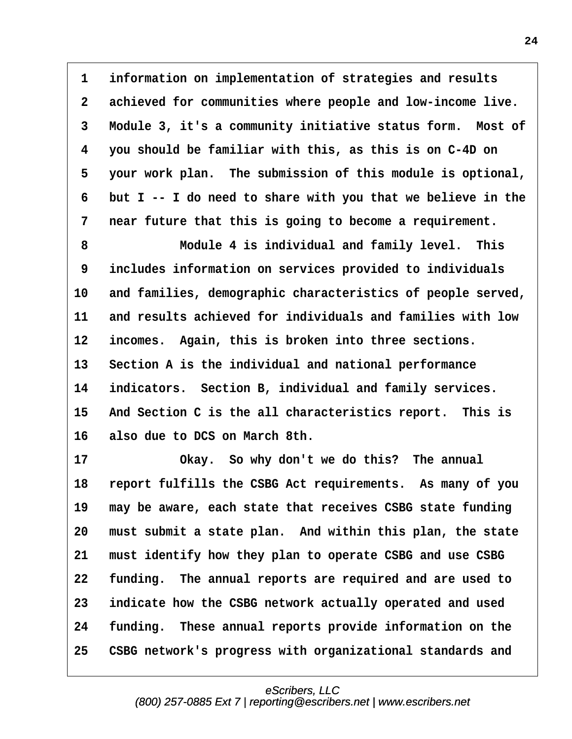<span id="page-23-0"></span>**·1· ·information on implementation of strategies and results ·2· ·achieved for communities where people and low-income live. ·3· ·Module 3, it's a community initiative status form.· Most of ·4· ·you should be familiar with this, as this is on C-4D on ·5· ·your work plan.· The submission of this module is optional, ·6· ·but I -- I do need to share with you that we believe in the ·7· ·near future that this is going to become a requirement.**

**·8· · · · · · ·Module 4 is individual and family level.· This ·9· ·includes information on services provided to individuals** 10 and families, demographic characteristics of people served, **11· ·and results achieved for individuals and families with low** 12 incomes. Again, this is broken into three sections. 13 Section A is the individual and national performance 14 indicators. Section B, individual and family services. **15· ·And Section C is the all characteristics report.· This is 16· ·also due to DCS on March 8th.**

**17· · · · · · ·Okay.· So why don't we do this?· The annual** 18 report fulfills the CSBG Act requirements. As many of you 19 may be aware, each state that receives CSBG state funding 20 must submit a state plan. And within this plan, the state 21 must identify how they plan to operate CSBG and use CSBG **22· ·funding.· The annual reports are required and are used to 23· ·indicate how the CSBG network actually operated and used 24· ·funding.· These annual reports provide information on the 25· ·CSBG network's progress with organizational standards and**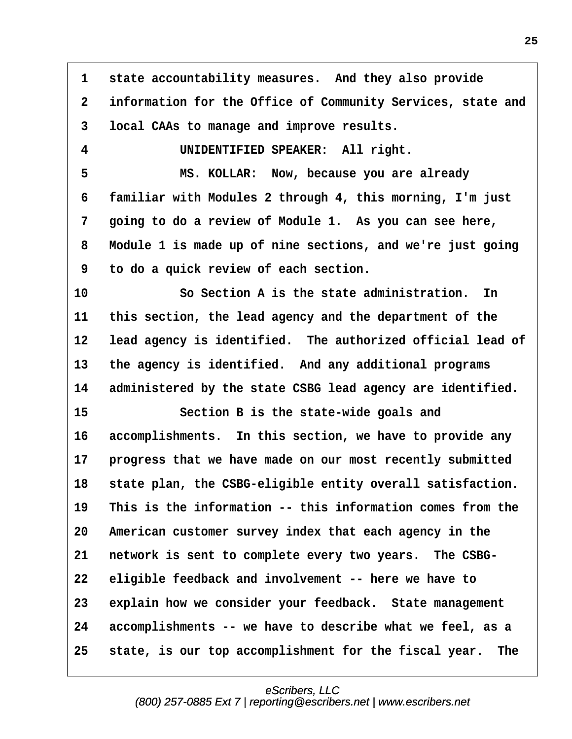<span id="page-24-0"></span>**·1· ·state accountability measures.· And they also provide ·2· ·information for the Office of Community Services, state and ·3· ·local CAAs to manage and improve results. ·4· · · · · · ·UNIDENTIFIED SPEAKER:· All right. ·5· · · · · · ·MS. KOLLAR:· Now, because you are already ·6· ·familiar with Modules 2 through 4, this morning, I'm just ·7· ·going to do a review of Module 1.· As you can see here, ·8· ·Module 1 is made up of nine sections, and we're just going ·9· ·to do a quick review of each section. 10· · · · · · ·So Section A is the state administration.· In** 11 this section, the lead agency and the department of the **12· ·lead agency is identified.· The authorized official lead of** 13 the agency is identified. And any additional programs **14· ·administered by the state CSBG lead agency are identified. 15· · · · · · ·Section B is the state-wide goals and** 16 accomplishments. In this section, we have to provide any **17· ·progress that we have made on our most recently submitted** 18 state plan, the CSBG-eligible entity overall satisfaction. **19· ·This is the information -- this information comes from the 20· ·American customer survey index that each agency in the** 21 network is sent to complete every two years. The CSBG-**22· ·eligible feedback and involvement -- here we have to** 23 explain how we consider your feedback. State management **24· ·accomplishments -- we have to describe what we feel, as a** 25 state, is our top accomplishment for the fiscal year. The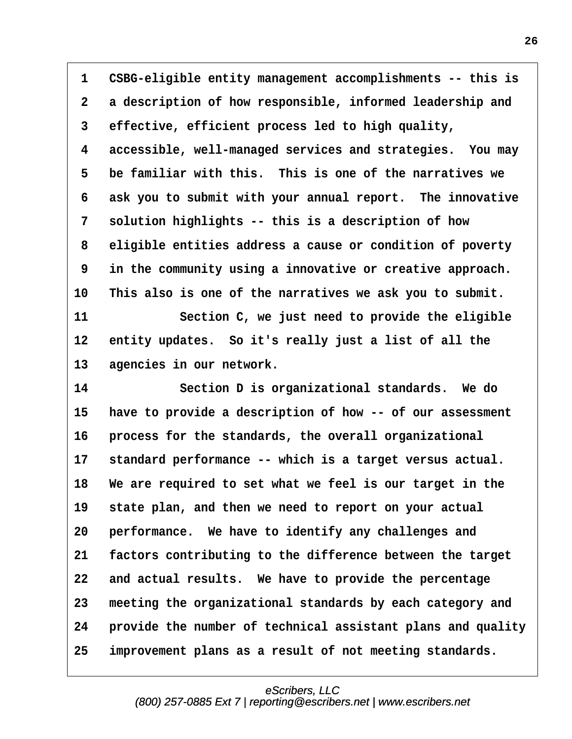<span id="page-25-0"></span>**·1· ·CSBG-eligible entity management accomplishments -- this is ·2· ·a description of how responsible, informed leadership and ·3· ·effective, efficient process led to high quality, ·4· ·accessible, well-managed services and strategies.· You may ·5· ·be familiar with this.· This is one of the narratives we ·6· ·ask you to submit with your annual report.· The innovative ·7· ·solution highlights -- this is a description of how ·8· ·eligible entities address a cause or condition of poverty ·9· ·in the community using a innovative or creative approach.** 10 This also is one of the narratives we ask you to submit.

**11· · · · · · ·Section C, we just need to provide the eligible** 12 entity updates. So it's really just a list of all the 13 agencies in our network.

**14· · · · · · ·Section D is organizational standards.· We do** 15 have to provide a description of how -- of our assessment 16 **process for the standards, the overall organizational** 17 standard performance -- which is a target versus actual. 18 We are required to set what we feel is our target in the 19 state plan, and then we need to report on your actual **20· ·performance.· We have to identify any challenges and 21· ·factors contributing to the difference between the target** 22 and actual results. We have to provide the percentage **23· ·meeting the organizational standards by each category and** 24 **· provide the number of technical assistant plans and quality 25· ·improvement plans as a result of not meeting standards.**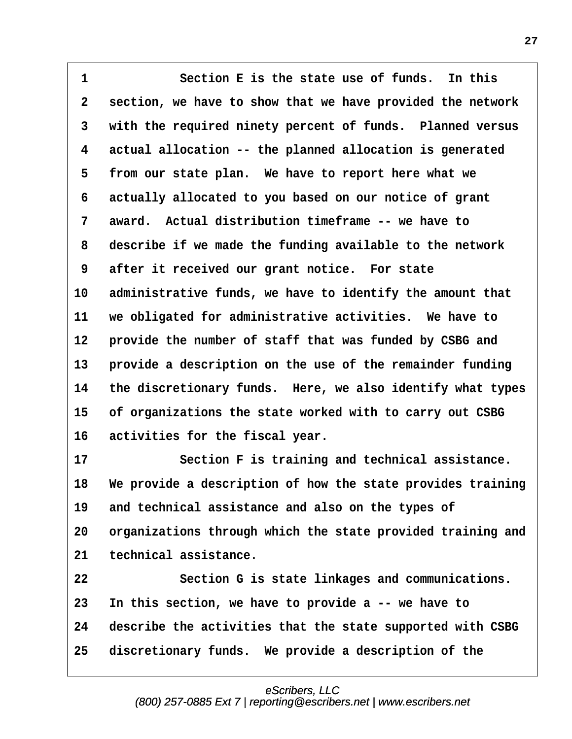<span id="page-26-0"></span>**·1· · · · · · ·Section E is the state use of funds.· In this ·2· ·section, we have to show that we have provided the network ·3· ·with the required ninety percent of funds.· Planned versus ·4· ·actual allocation -- the planned allocation is generated ·5· ·from our state plan.· We have to report here what we ·6· ·actually allocated to you based on our notice of grant ·7· ·award.· Actual distribution timeframe -- we have to ·8· ·describe if we made the funding available to the network 9** after it received our grant notice. For state 10 administrative funds, we have to identify the amount that **11· ·we obligated for administrative activities.· We have to** 12 **provide the number of staff that was funded by CSBG and** 13 **provide a description on the use of the remainder funding 14· ·the discretionary funds.· Here, we also identify what types** 15 of organizations the state worked with to carry out CSBG 16 activities for the fiscal year.

**17· · · · · · ·Section F is training and technical assistance.** 18 We provide a description of how the state provides training 19 and technical assistance and also on the types of **20· ·organizations through which the state provided training and** 21 technical assistance.

**22· · · · · · ·Section G is state linkages and communications. 23· ·In this section, we have to provide a -- we have to** 24 describe the activities that the state supported with CSBG 25 discretionary funds. We provide a description of the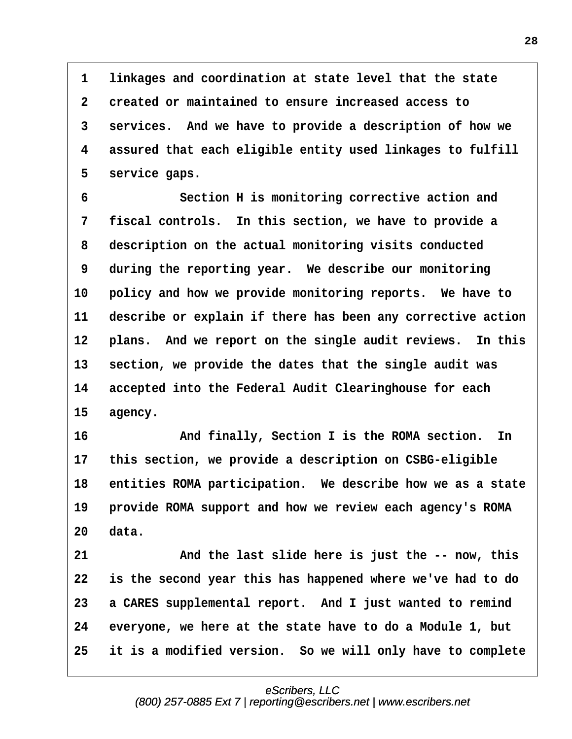<span id="page-27-0"></span>**·1· ·linkages and coordination at state level that the state ·2· ·created or maintained to ensure increased access to ·3· ·services.· And we have to provide a description of how we ·4· ·assured that each eligible entity used linkages to fulfill** 5 service gaps.

**·6· · · · · · ·Section H is monitoring corrective action and ·7· ·fiscal controls.· In this section, we have to provide a ·8· ·description on the actual monitoring visits conducted 9** during the reporting year. We describe our monitoring 10 **policy and how we provide monitoring reports.** We have to **11· ·describe or explain if there has been any corrective action** 12 plans. And we report on the single audit reviews. In this 13 section, we provide the dates that the single audit was **14· ·accepted into the Federal Audit Clearinghouse for each** 15 agency.

**16· · · · · · ·And finally, Section I is the ROMA section.· In** 17 this section, we provide a description on CSBG-eligible 18 entities ROMA participation. We describe how we as a state 19 **provide ROMA** support and how we review each agency's ROMA **20· ·data.**

**21· · · · · · ·And the last slide here is just the -- now, this 22· ·is the second year this has happened where we've had to do 23· ·a CARES supplemental report.· And I just wanted to remind 24· ·everyone, we here at the state have to do a Module 1, but 25· ·it is a modified version.· So we will only have to complete**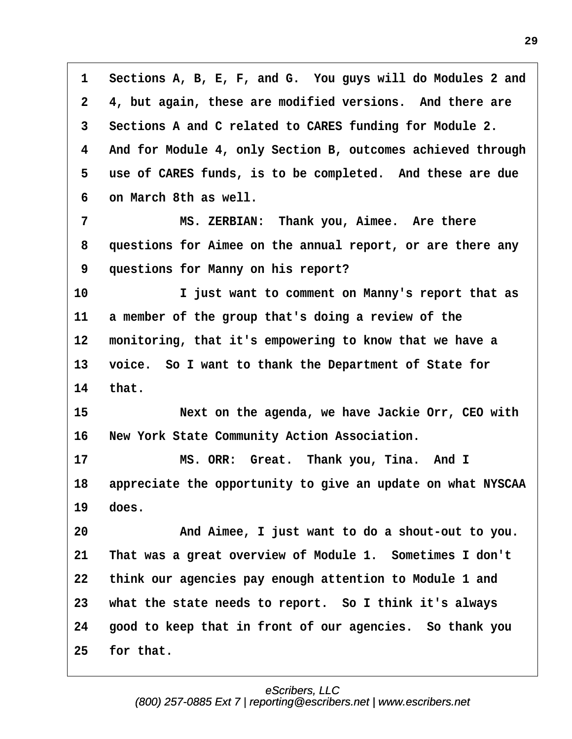<span id="page-28-0"></span>**·1· ·Sections A, B, E, F, and G.· You guys will do Modules 2 and ·2· ·4, but again, these are modified versions.· And there are ·3· ·Sections A and C related to CARES funding for Module 2. ·4· ·And for Module 4, only Section B, outcomes achieved through** 5 use of CARES funds, is to be completed. And these are due **·6· ·on March 8th as well. ·7· · · · · · ·MS. ZERBIAN:· Thank you, Aimee.· Are there ·8· ·questions for Aimee on the annual report, or are there any ·9· ·questions for Manny on his report? 10· · · · · · ·I just want to comment on Manny's report that as 11· ·a member of the group that's doing a review of the 12· ·monitoring, that it's empowering to know that we have a 13· ·voice.· So I want to thank the Department of State for** 14 **that. 15· · · · · · ·Next on the agenda, we have Jackie Orr, CEO with** 16 New York State Community Action Association. **17· · · · · · ·MS. ORR:· Great.· Thank you, Tina.· And I** 18 appreciate the opportunity to give an update on what NYSCAA **19· ·does. 20· · · · · · ·And Aimee, I just want to do a shout-out to you. 21· ·That was a great overview of Module 1.· Sometimes I don't 22· ·think our agencies pay enough attention to Module 1 and 23· ·what the state needs to report.· So I think it's always 24· ·good to keep that in front of our agencies.· So thank you 25· ·for that.**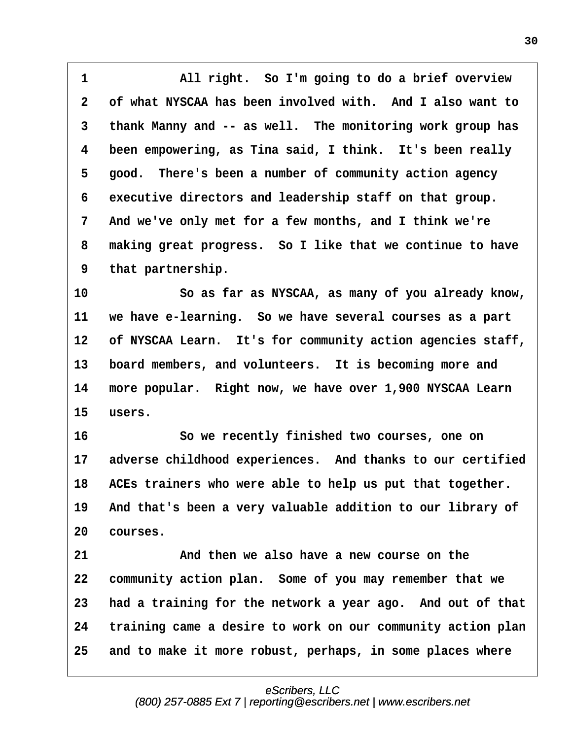<span id="page-29-0"></span>**·1· · · · · · ·All right.· So I'm going to do a brief overview ·2· ·of what NYSCAA has been involved with.· And I also want to ·3· ·thank Manny and -- as well.· The monitoring work group has ·4· ·been empowering, as Tina said, I think.· It's been really ·5· ·good.· There's been a number of community action agency ·6· ·executive directors and leadership staff on that group. ·7· ·And we've only met for a few months, and I think we're ·8· ·making great progress.· So I like that we continue to have ·9· ·that partnership.**

**10· · · · · · ·So as far as NYSCAA, as many of you already know, 11· ·we have e-learning.· So we have several courses as a part** 12 of NYSCAA Learn. It's for community action agencies staff, 13 board members, and volunteers. It is becoming more and 14 more popular. Right now, we have over 1,900 NYSCAA Learn 15 users.

**16· · · · · · ·So we recently finished two courses, one on 17· ·adverse childhood experiences.· And thanks to our certified** 18 ACEs trainers who were able to help us put that together. 19 And that's been a very valuable addition to our library of 20 **courses.** 

**21· · · · · · ·And then we also have a new course on the 22· ·community action plan.· Some of you may remember that we 23· ·had a training for the network a year ago.· And out of that 24· ·training came a desire to work on our community action plan** 25 and to make it more robust, perhaps, in some places where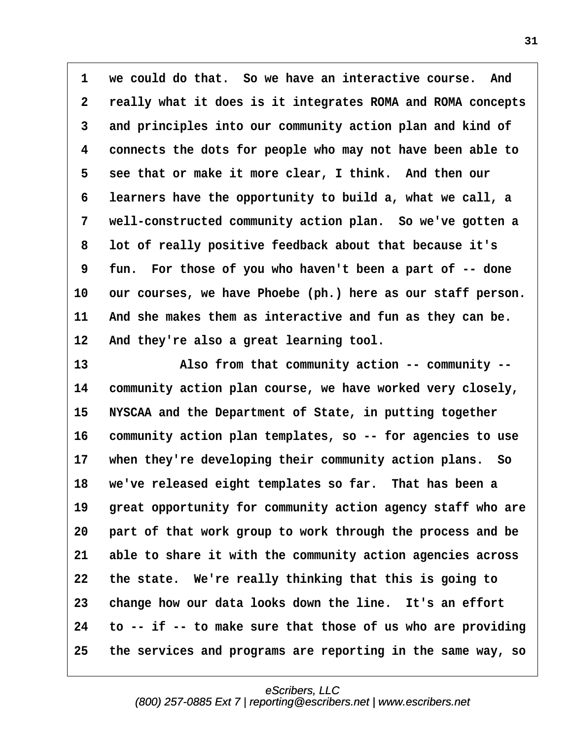<span id="page-30-0"></span>1 we could do that. So we have an interactive course. And **·2· ·really what it does is it integrates ROMA and ROMA concepts ·3· ·and principles into our community action plan and kind of ·4· ·connects the dots for people who may not have been able to** 5 see that or make it more clear, I think. And then our **·6· ·learners have the opportunity to build a, what we call, a ·7· ·well-constructed community action plan.· So we've gotten a ·8· ·lot of really positive feedback about that because it's ·9· ·fun.· For those of you who haven't been a part of -- done** 10 our courses, we have Phoebe (ph.) here as our staff person. 11 And she makes them as interactive and fun as they can be. 12 And they're also a great learning tool.

13 Also from that community action -- community --**14· ·community action plan course, we have worked very closely,** 15 **NYSCAA and the Department of State, in putting together** 16 community action plan templates, so -- for agencies to use **17· ·when they're developing their community action plans.· So** 18 we've released eight templates so far. That has been a 19 great opportunity for community action agency staff who are **20· ·part of that work group to work through the process and be 21· ·able to share it with the community action agencies across 22· ·the state.· We're really thinking that this is going to 23· ·change how our data looks down the line.· It's an effort 24· ·to -- if -- to make sure that those of us who are providing 25· ·the services and programs are reporting in the same way, so**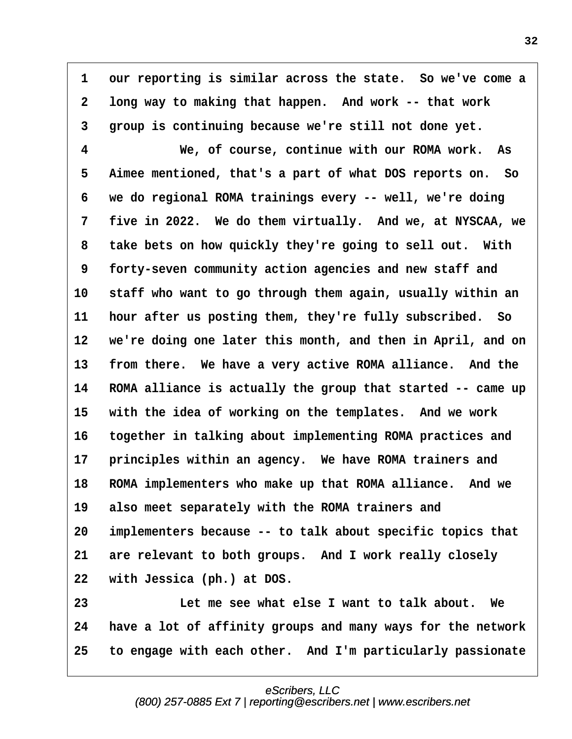<span id="page-31-0"></span>**·1· ·our reporting is similar across the state.· So we've come a ·2· ·long way to making that happen.· And work -- that work ·3· ·group is continuing because we're still not done yet.**

**·4· · · · · · ·We, of course, continue with our ROMA work.· As ·5· ·Aimee mentioned, that's a part of what DOS reports on.· So ·6· ·we do regional ROMA trainings every -- well, we're doing ·7· ·five in 2022.· We do them virtually.· And we, at NYSCAA, we** 8 take bets on how quickly they're going to sell out. With **·9· ·forty-seven community action agencies and new staff and** 10 staff who want to go through them again, usually within an **11· ·hour after us posting them, they're fully subscribed.· So 12· ·we're doing one later this month, and then in April, and on** 13 from there. We have a very active ROMA alliance. And the **14· ·ROMA alliance is actually the group that started -- came up** 15 with the idea of working on the templates. And we work **16· ·together in talking about implementing ROMA practices and** 17 **principles within an agency.** We have ROMA trainers and 18 ROMA implementers who make up that ROMA alliance. And we 19 also meet separately with the ROMA trainers and **20· ·implementers because -- to talk about specific topics that** 21 are relevant to both groups. And I work really closely **22· ·with Jessica (ph.) at DOS.**

**23· · · · · · ·Let me see what else I want to talk about.· We 24· ·have a lot of affinity groups and many ways for the network 25· ·to engage with each other.· And I'm particularly passionate**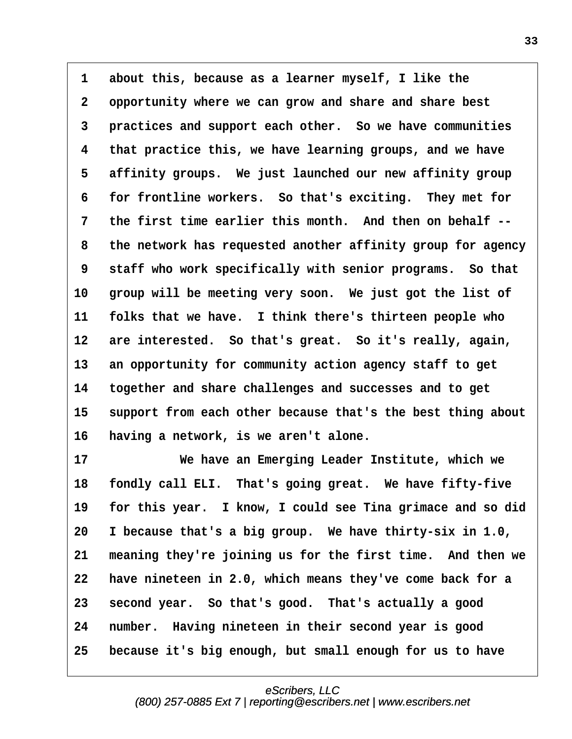<span id="page-32-0"></span>**·1· ·about this, because as a learner myself, I like the ·2· ·opportunity where we can grow and share and share best ·3· ·practices and support each other.· So we have communities ·4· ·that practice this, we have learning groups, and we have ·5· ·affinity groups.· We just launched our new affinity group ·6· ·for frontline workers.· So that's exciting.· They met for** 7 the first time earlier this month. And then on behalf --**·8· ·the network has requested another affinity group for agency ·9· ·staff who work specifically with senior programs.· So that** 10 group will be meeting very soon. We just got the list of **11· ·folks that we have.· I think there's thirteen people who** 12 are interested. So that's great. So it's really, again, 13 an opportunity for community action agency staff to get **14· ·together and share challenges and successes and to get** 15 support from each other because that's the best thing about 16 **having a network, is we aren't alone.** 

**17· · · · · · ·We have an Emerging Leader Institute, which we** 18 fondly call ELI. That's going great. We have fifty-five 19 for this year. I know, I could see Tina grimace and so did **20· ·I because that's a big group.· We have thirty-six in 1.0,** 21 meaning they're joining us for the first time. And then we **22· ·have nineteen in 2.0, which means they've come back for a 23· ·second year.· So that's good.· That's actually a good 24· ·number.· Having nineteen in their second year is good 25· ·because it's big enough, but small enough for us to have**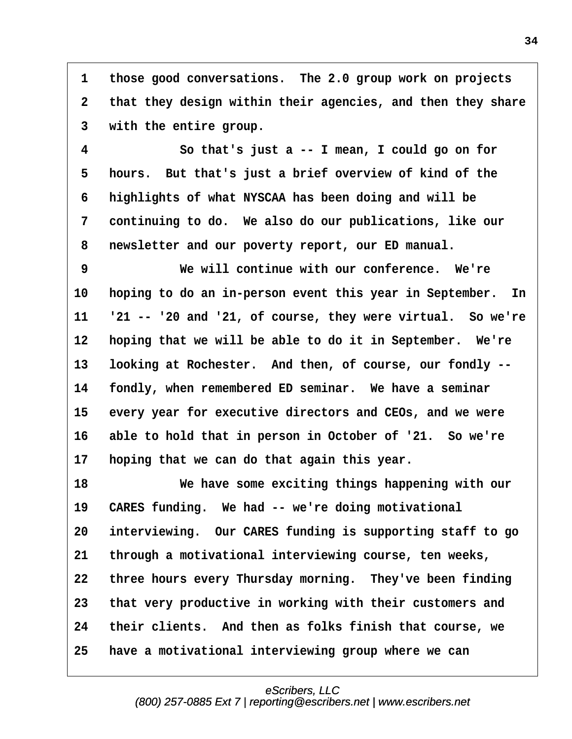<span id="page-33-0"></span>**·1· ·those good conversations.· The 2.0 group work on projects ·2· ·that they design within their agencies, and then they share ·3· ·with the entire group.**

**·4· · · · · · ·So that's just a -- I mean, I could go on for ·5· ·hours.· But that's just a brief overview of kind of the ·6· ·highlights of what NYSCAA has been doing and will be ·7· ·continuing to do.· We also do our publications, like our ·8· ·newsletter and our poverty report, our ED manual.**

**·9· · · · · · ·We will continue with our conference.· We're** 10 **hoping to do an in-person event this year in September.** In **11· ·'21 -- '20 and '21, of course, they were virtual.· So we're** 12 **hoping that we will be able to do it in September.** We're **13· ·looking at Rochester.· And then, of course, our fondly -- 14· ·fondly, when remembered ED seminar.· We have a seminar** 15 every year for executive directors and CEOs, and we were 16 able to hold that in person in October of '21. So we're **17· ·hoping that we can do that again this year.**

**18· · · · · · ·We have some exciting things happening with our** 19 CARES funding. We had -- we're doing motivational **20· ·interviewing.· Our CARES funding is supporting staff to go 21· ·through a motivational interviewing course, ten weeks,** 22 three hours every Thursday morning. They've been finding **23· ·that very productive in working with their customers and 24· ·their clients.· And then as folks finish that course, we 25· ·have a motivational interviewing group where we can**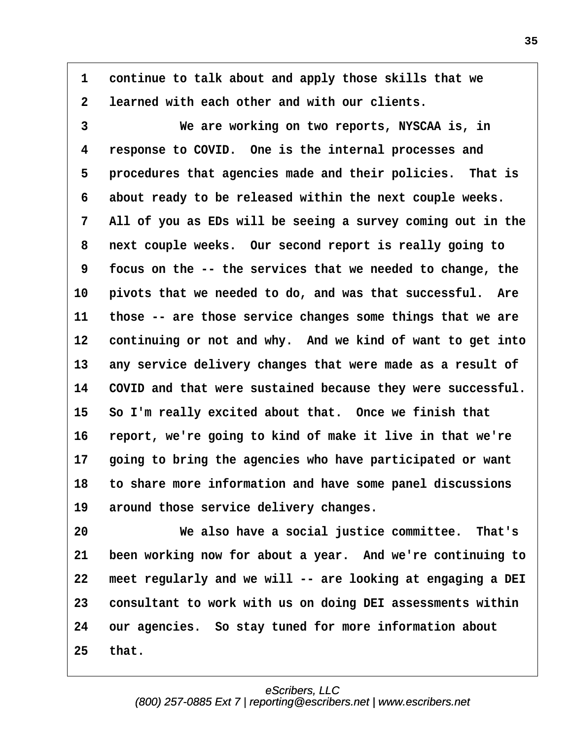<span id="page-34-0"></span>**·1· ·continue to talk about and apply those skills that we ·2· ·learned with each other and with our clients.**

**·3· · · · · · ·We are working on two reports, NYSCAA is, in ·4· ·response to COVID.· One is the internal processes and** 5 **procedures that agencies made and their policies.** That is **·6· ·about ready to be released within the next couple weeks. ·7· ·All of you as EDs will be seeing a survey coming out in the ·8· ·next couple weeks.· Our second report is really going to ·9· ·focus on the -- the services that we needed to change, the** 10 **pivots that we needed to do, and was that successful.** Are **11· ·those -- are those service changes some things that we are** 12 continuing or not and why. And we kind of want to get into 13 any service delivery changes that were made as a result of 14 COVID and that were sustained because they were successful. 15 So I'm really excited about that. Once we finish that **16· ·report, we're going to kind of make it live in that we're** 17 **going to bring the agencies who have participated or want 18· ·to share more information and have some panel discussions** 19 around those service delivery changes.

**20· · · · · · ·We also have a social justice committee.· That's 21· ·been working now for about a year.· And we're continuing to 22· ·meet regularly and we will -- are looking at engaging a DEI 23· ·consultant to work with us on doing DEI assessments within** 24 our agencies. So stay tuned for more information about **25· ·that.**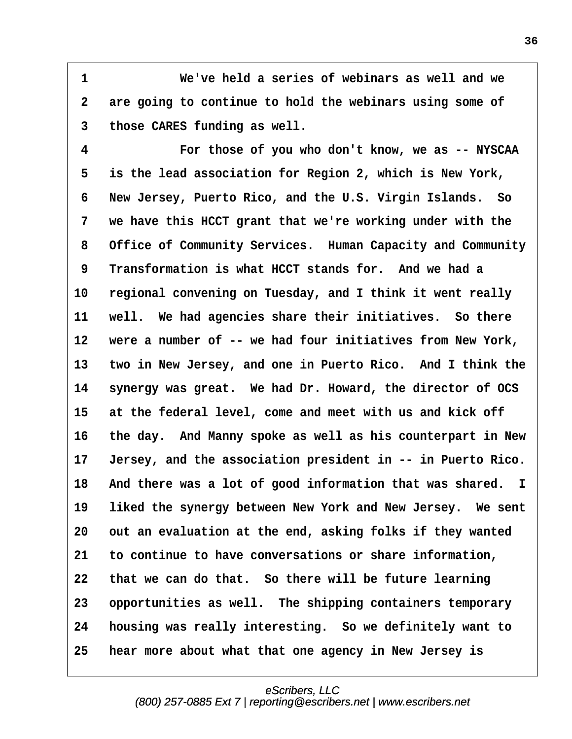<span id="page-35-0"></span>**·1· · · · · · ·We've held a series of webinars as well and we ·2· ·are going to continue to hold the webinars using some of ·3· ·those CARES funding as well.**

**·4· · · · · · ·For those of you who don't know, we as -- NYSCAA ·5· ·is the lead association for Region 2, which is New York, ·6· ·New Jersey, Puerto Rico, and the U.S. Virgin Islands.· So ·7· ·we have this HCCT grant that we're working under with the ·8· ·Office of Community Services.· Human Capacity and Community ·9· ·Transformation is what HCCT stands for.· And we had a** 10 regional convening on Tuesday, and I think it went really 11 **well.** We had agencies share their initiatives. So there 12 were a number of -- we had four initiatives from New York, 13 two in New Jersey, and one in Puerto Rico. And I think the 14 synergy was great. We had Dr. Howard, the director of OCS 15 at the federal level, come and meet with us and kick off **16· ·the day.· And Manny spoke as well as his counterpart in New 17· ·Jersey, and the association president in -- in Puerto Rico. 18· ·And there was a lot of good information that was shared. I** 19 liked the synergy between New York and New Jersey. We sent **20· ·out an evaluation at the end, asking folks if they wanted 21· ·to continue to have conversations or share information, 22· ·that we can do that.· So there will be future learning 23· ·opportunities as well.· The shipping containers temporary 24· ·housing was really interesting.· So we definitely want to 25· ·hear more about what that one agency in New Jersey is**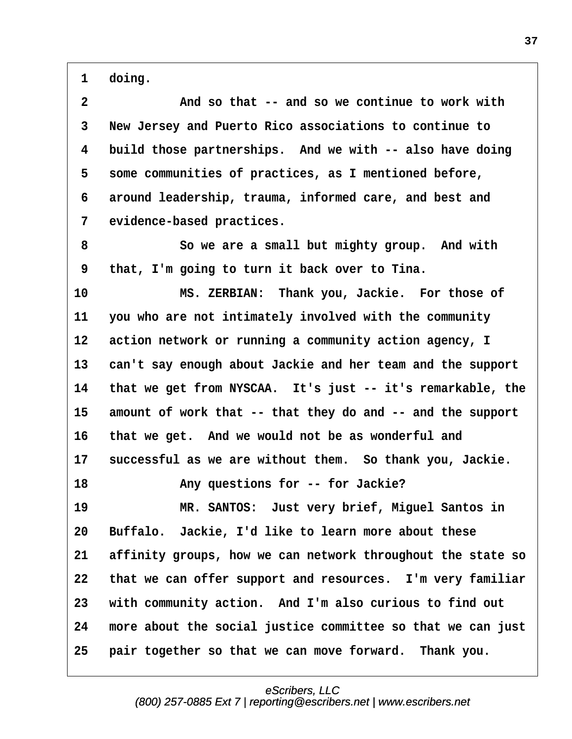<span id="page-36-0"></span>**·1· ·doing.**

**·2· · · · · · ·And so that -- and so we continue to work with ·3· ·New Jersey and Puerto Rico associations to continue to ·4· ·build those partnerships.· And we with -- also have doing ·5· ·some communities of practices, as I mentioned before, ·6· ·around leadership, trauma, informed care, and best and ·7· ·evidence-based practices.**

**·8· · · · · · ·So we are a small but mighty group.· And with ·9· ·that, I'm going to turn it back over to Tina.**

**10· · · · · · ·MS. ZERBIAN:· Thank you, Jackie.· For those of 11· ·you who are not intimately involved with the community** 12 action network or running a community action agency, I 13 can't say enough about Jackie and her team and the support **14· ·that we get from NYSCAA.· It's just -- it's remarkable, the** 15 amount of work that -- that they do and -- and the support 16 that we get. And we would not be as wonderful and **17· ·successful as we are without them.· So thank you, Jackie.** 18 **any questions for -- for Jackie? 19· · · · · · ·MR. SANTOS:· Just very brief, Miguel Santos in** 20 Buffalo. Jackie, I'd like to learn more about these **21· ·affinity groups, how we can network throughout the state so** 22 that we can offer support and resources. I'm very familiar **23· ·with community action.· And I'm also curious to find out**

**24· ·more about the social justice committee so that we can just** 25 **pair together so that we can move forward.** Thank you.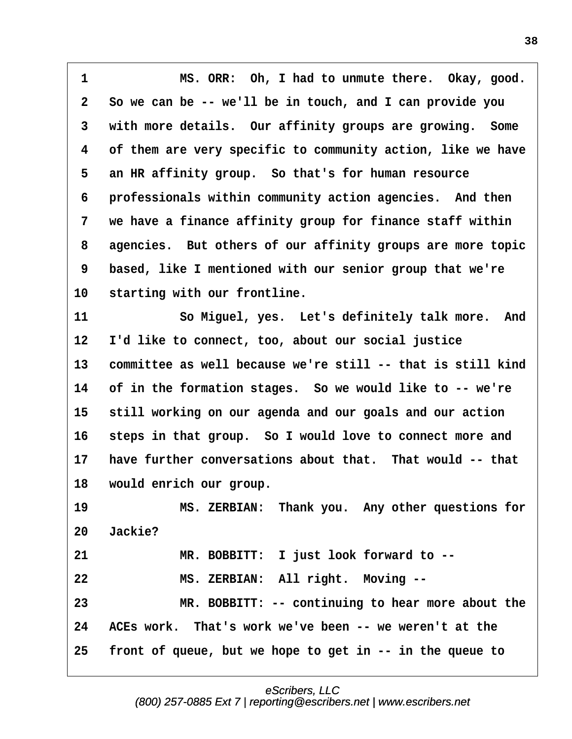<span id="page-37-0"></span>**·1· · · · · · ·MS. ORR:· Oh, I had to unmute there.· Okay, good. ·2· ·So we can be -- we'll be in touch, and I can provide you ·3· ·with more details.· Our affinity groups are growing.· Some ·4· ·of them are very specific to community action, like we have ·5· ·an HR affinity group.· So that's for human resource ·6· ·professionals within community action agencies.· And then ·7· ·we have a finance affinity group for finance staff within ·8· ·agencies.· But others of our affinity groups are more topic ·9· ·based, like I mentioned with our senior group that we're** 10 starting with our frontline. 11 **80 So Miguel, yes.** Let's definitely talk more. And **12· ·I'd like to connect, too, about our social justice** 13 committee as well because we're still -- that is still kind **14· ·of in the formation stages.· So we would like to -- we're 15· ·still working on our agenda and our goals and our action** 16 steps in that group. So I would love to connect more and **17· ·have further conversations about that.· That would -- that** 18 would enrich our group. **19· · · · · · ·MS. ZERBIAN:· Thank you.· Any other questions for** 20 **Jackie? 21· · · · · · ·MR. BOBBITT:· I just look forward to -- 22· · · · · · ·MS. ZERBIAN:· All right.· Moving -- 23· · · · · · ·MR. BOBBITT: -- continuing to hear more about the 24· ·ACEs work.· That's work we've been -- we weren't at the 25· ·front of queue, but we hope to get in -- in the queue to**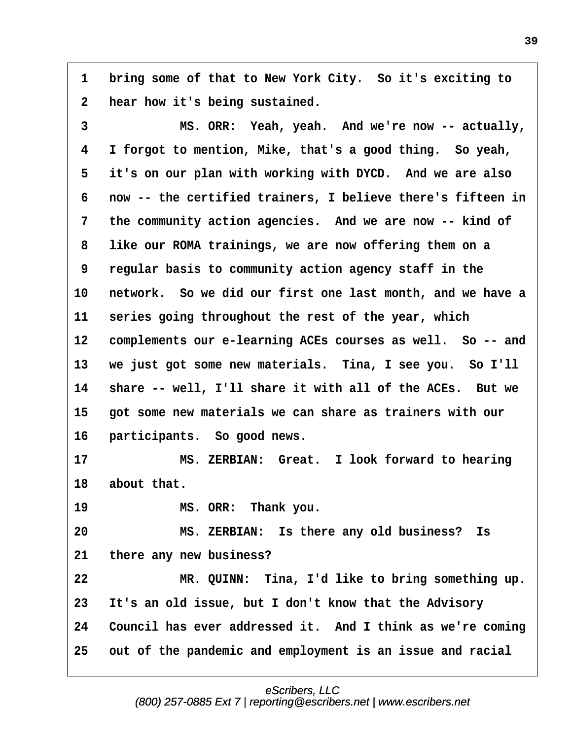<span id="page-38-0"></span>1 bring some of that to New York City. So it's exciting to **·2· ·hear how it's being sustained.**

**·3· · · · · · ·MS. ORR:· Yeah, yeah.· And we're now -- actually, ·4· ·I forgot to mention, Mike, that's a good thing.· So yeah, ·5· ·it's on our plan with working with DYCD.· And we are also ·6· ·now -- the certified trainers, I believe there's fifteen in ·7· ·the community action agencies.· And we are now -- kind of ·8· ·like our ROMA trainings, we are now offering them on a ·9· ·regular basis to community action agency staff in the 10· ·network.· So we did our first one last month, and we have a** 11 series going throughout the rest of the year, which 12 complements our e-learning ACEs courses as well. So -- and **13· ·we just got some new materials.· Tina, I see you.· So I'll** 14 share -- well, I'll share it with all of the ACEs. But we **15· ·got some new materials we can share as trainers with our** 16 **participants.** So good news.

**17· · · · · · ·MS. ZERBIAN:· Great.· I look forward to hearing** 18 about that.

19 **MS. ORR:** Thank you.

**20· · · · · · ·MS. ZERBIAN:· Is there any old business?· Is** 21 there any new business? **22· · · · · · ·MR. QUINN:· Tina, I'd like to bring something up.**

**23· ·It's an old issue, but I don't know that the Advisory 24· ·Council has ever addressed it.· And I think as we're coming 25· ·out of the pandemic and employment is an issue and racial**

eScribers, LLC

[\(800\) 257-0885 Ext 7 | reporting@escribers.net | www.escribers.net](http://www.escribers.net)

**39**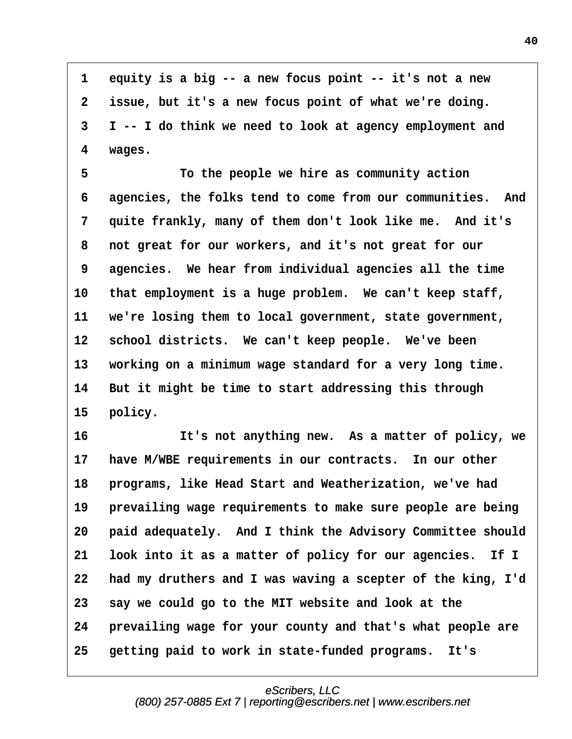<span id="page-39-0"></span>**·1· ·equity is a big -- a new focus point -- it's not a new ·2· ·issue, but it's a new focus point of what we're doing. ·3· ·I -- I do think we need to look at agency employment and ·4· ·wages.**

**·5· · · · · · ·To the people we hire as community action ·6· ·agencies, the folks tend to come from our communities.· And** 7 quite frankly, many of them don't look like me. And it's **·8· ·not great for our workers, and it's not great for our ·9· ·agencies.· We hear from individual agencies all the time** 10 that employment is a huge problem. We can't keep staff, **11· ·we're losing them to local government, state government,** 12 school districts. We can't keep people. We've been 13 working on a minimum wage standard for a very long time. **14· ·But it might be time to start addressing this through** 15 **policy.** 

**16· · · · · · ·It's not anything new.· As a matter of policy, we** 17 have M/WBE requirements in our contracts. In our other 18 **programs, like Head Start and Weatherization, we've had** 19 **· prevailing wage requirements to make sure people are being** 20 **paid adequately.** And I think the Advisory Committee should **21· ·look into it as a matter of policy for our agencies.· If I 22· ·had my druthers and I was waving a scepter of the king, I'd 23· ·say we could go to the MIT website and look at the** 24 **· prevailing wage for your county and that's what people are 25· ·getting paid to work in state-funded programs.· It's**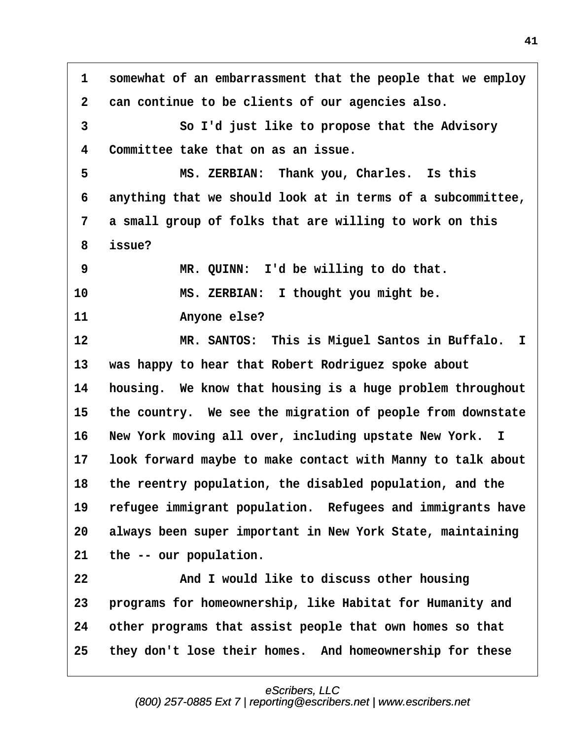<span id="page-40-0"></span>**·1· ·somewhat of an embarrassment that the people that we employ ·2· ·can continue to be clients of our agencies also. ·3· · · · · · ·So I'd just like to propose that the Advisory ·4· ·Committee take that on as an issue. ·5· · · · · · ·MS. ZERBIAN:· Thank you, Charles.· Is this ·6· ·anything that we should look at in terms of a subcommittee, ·7· ·a small group of folks that are willing to work on this ·8· ·issue? ·9· · · · · · ·MR. QUINN:· I'd be willing to do that. 10· · · · · · ·MS. ZERBIAN:· I thought you might be.** 11 **Anyone else? 12· · · · · · ·MR. SANTOS:· This is Miguel Santos in Buffalo. I** 13 was happy to hear that Robert Rodriguez spoke about **14· ·housing.· We know that housing is a huge problem throughout** 15 the country. We see the migration of people from downstate 16 New York moving all over, including upstate New York. I **17· ·look forward maybe to make contact with Manny to talk about** 18 the reentry population, the disabled population, and the 19 refugee immigrant population. Refugees and immigrants have **20· ·always been super important in New York State, maintaining** 21 the -- our population. **22· · · · · · ·And I would like to discuss other housing 23· ·programs for homeownership, like Habitat for Humanity and 24· ·other programs that assist people that own homes so that 25· ·they don't lose their homes.· And homeownership for these**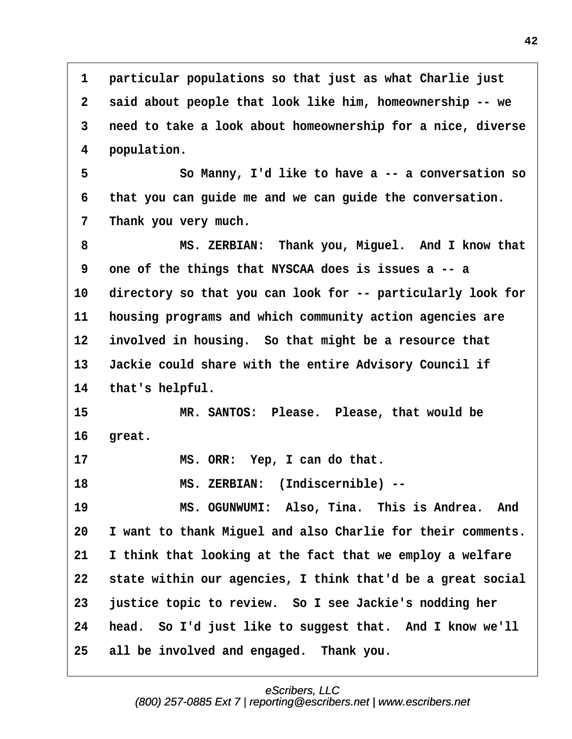<span id="page-41-0"></span>1 **particular populations so that just as what Charlie just ·2· ·said about people that look like him, homeownership -- we ·3· ·need to take a look about homeownership for a nice, diverse ·4· ·population. ·5· · · · · · ·So Manny, I'd like to have a -- a conversation so ·6· ·that you can guide me and we can guide the conversation. ·7· ·Thank you very much. ·8· · · · · · ·MS. ZERBIAN:· Thank you, Miguel.· And I know that ·9· ·one of the things that NYSCAA does is issues a -- a** 10 directory so that you can look for -- particularly look for **11· ·housing programs and which community action agencies are** 12 involved in housing. So that might be a resource that 13 Jackie could share with the entire Advisory Council if 14 that's helpful. **15· · · · · · ·MR. SANTOS:· Please.· Please, that would be** 16 great. 17 **MS. ORR:** Yep, I can do that. **18· · · · · · ·MS. ZERBIAN:· (Indiscernible) -- 19· · · · · · ·MS. OGUNWUMI:· Also, Tina.· This is Andrea.· And 20· ·I want to thank Miguel and also Charlie for their comments. 21· ·I think that looking at the fact that we employ a welfare 22· ·state within our agencies, I think that'd be a great social 23· ·justice topic to review.· So I see Jackie's nodding her** 24 **head.** So I'd just like to suggest that. And I know we'll **25· ·all be involved and engaged.· Thank you.**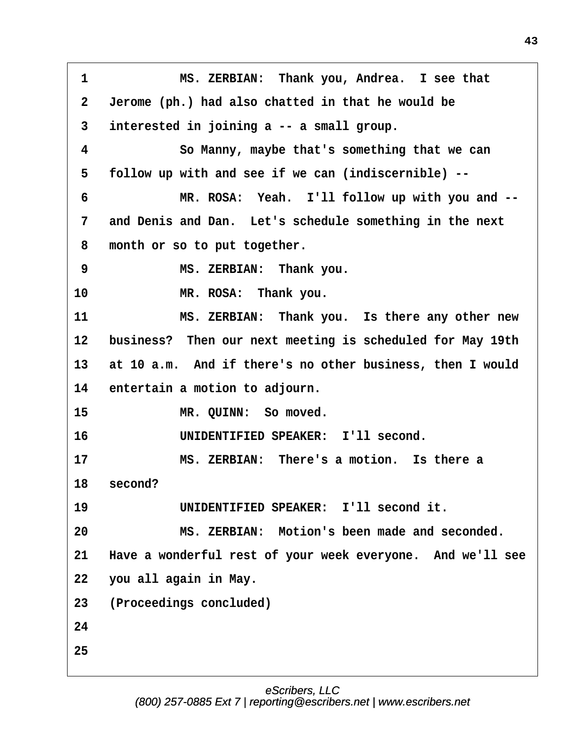<span id="page-42-0"></span>**·1· · · · · · ·MS. ZERBIAN:· Thank you, Andrea.· I see that ·2· ·Jerome (ph.) had also chatted in that he would be ·3· ·interested in joining a -- a small group. ·4· · · · · · ·So Manny, maybe that's something that we can ·5· ·follow up with and see if we can (indiscernible) -- ·6· · · · · · ·MR. ROSA:· Yeah.· I'll follow up with you and -- ·7· ·and Denis and Dan.· Let's schedule something in the next ·8· ·month or so to put together. ·9· · · · · · ·MS. ZERBIAN:· Thank you.** 10 **MR. ROSA:** Thank you. **11· · · · · · ·MS. ZERBIAN:· Thank you.· Is there any other new** 12 business? Then our next meeting is scheduled for May 19th 13 at 10 a.m. And if there's no other business, then I would 14 entertain a motion to adjourn. 15 MR. QUINN: So moved. **16· · · · · · ·UNIDENTIFIED SPEAKER:· I'll second. 17· · · · · · ·MS. ZERBIAN:· There's a motion.· Is there a** 18 **second? 19· · · · · · ·UNIDENTIFIED SPEAKER:· I'll second it. 20· · · · · · ·MS. ZERBIAN:· Motion's been made and seconded. 21· ·Have a wonderful rest of your week everyone.· And we'll see 22· ·you all again in May. 23· ·(Proceedings concluded) 24 25**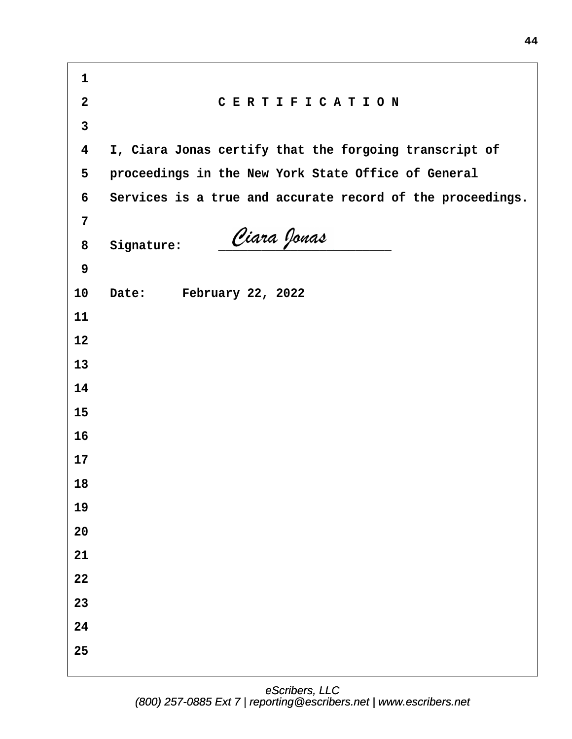| $\mathbf 1$             |                                                            |
|-------------------------|------------------------------------------------------------|
| $\overline{2}$          | CERTIFICATION                                              |
| $\overline{3}$          |                                                            |
| $\overline{\mathbf{4}}$ | I, Ciara Jonas certify that the forgoing transcript of     |
| 5                       | proceedings in the New York State Office of General        |
| 6                       | Services is a true and accurate record of the proceedings. |
| 7                       |                                                            |
| 8                       | Ciara Jonas<br>Signature:                                  |
| $\mathbf{9}$            |                                                            |
| 10                      | Date:<br>February 22, 2022                                 |
| 11                      |                                                            |
| 12                      |                                                            |
| 13                      |                                                            |
| 14                      |                                                            |
| 15                      |                                                            |
| 16                      |                                                            |
| 17                      |                                                            |
| 18                      |                                                            |
| 19                      |                                                            |
| 20                      |                                                            |
| 21                      |                                                            |
| 22                      |                                                            |
| 23                      |                                                            |
| 24                      |                                                            |
| 25                      |                                                            |
|                         |                                                            |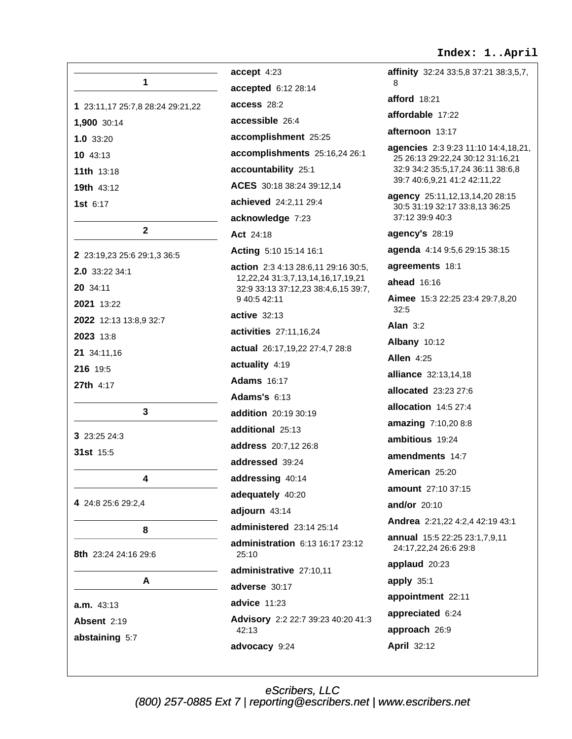Index: 1..April

|                                  | accept 4:23                     |
|----------------------------------|---------------------------------|
| 1                                | accepted 6:1:                   |
| 1 23:11,17 25:7,8 28:24 29:21,22 | access 28:2                     |
| 1,900 30:14                      | accessible 20                   |
| 1.033:20                         | accomplishm                     |
| 1043:13                          | accomplishm                     |
| <b>11th</b> 13:18                | accountabilit                   |
| 19th 43:12                       | <b>ACES</b> 30:183              |
| 1st $6:17$                       | achieved 24:2                   |
|                                  | acknowledge                     |
| 2                                | <b>Act</b> 24:18                |
| 2 23:19,23 25:6 29:1,3 36:5      | Acting 5:10 1                   |
| 2.0 33:22 34:1                   | action 2:3 4:1                  |
| 20 34:11                         | 12,22,24 31:3<br>32:9 33:13 37: |
| 2021 13:22                       | 9 40:5 42:11                    |
| 2022 12:13 13:8,9 32:7           | $active$ 32:13                  |
| 2023 13:8                        | activities 27:                  |
| 21 34:11,16                      | actual 26:17,1                  |
| 216 19:5                         | actuality 4:19                  |
| <b>27th 4:17</b>                 | <b>Adams</b> 16:17              |
|                                  | Adams's 6:13                    |
| 3                                | addition 20:1                   |
| 3 23:25 24:3                     | additional 25                   |
| <b>31st</b> 15:5                 | address $20:7$                  |
|                                  | addressed 39                    |
| 4                                | addressing 4                    |
| 4 24:8 25:6 29:2,4               | adequately 4                    |
|                                  | adjourn 43:14                   |
| 8                                | administered                    |
| <b>8th</b> 23:24 24:16 29:6      | administratio<br>25:10          |
| A                                | administrativ                   |
|                                  | adverse 30:17                   |
| a.m. 43:13                       | advice $11:23$                  |
| Absent 2:19<br>abstaining 5:7    | <b>Advisory 2:2</b><br>42:13    |
|                                  | advocacy 9:2                    |

affinity 32:24 33:5,8 37:21 38:3,5,7, 8 2 28:14 afford 18:21 affordable 17:22  $6:4$ afternoon 13:17 **ent** 25:25 agencies 2:3 9:23 11:10 14:4,18,21, **nents** 25:16,24 26:1 25 26:13 29:22,24 30:12 31:16,21 32:9 34:2 35:5,17,24 36:11 38:6,8 y 25:1 8:24 39:12,14 2.11 29:4  $7:23$ 5:14 16:1 3 28:6,11 29:16 30:5, ,7,13,14,16,17,19,21 :12,23 38:4,6,15 39:7,  $32:5$ Alan  $3:2$ 11,16,24 9,22 27:4,7 28:8 **Allen 4:25** 3 9 30:19  $5:13$  $1226:8$  $9:24$  $10:14$  $10:20$ 4 23:14 25:14 n 6:13 16:17 23:12 re 27:10,11 apply 35:1  $\overline{7}$ 22:7 39:23 40:20 41:3  $\frac{4}{3}$ 

39:7 40:6,9,21 41:2 42:11,22 agency 25:11,12,13,14,20 28:15 30:5 31:19 32:17 33:8,13 36:25 37:12 39:9 40:3 agency's 28:19 agenda 4:14 9:5,6 29:15 38:15 agreements 18:1 ahead 16:16 Aimee 15:3 22:25 23:4 29:7,8,20 **Albany 10:12** alliance 32:13,14,18 allocated 23:23 27:6 allocation 14:5 27:4 amazing 7:10,20 8:8 ambitious 19:24 amendments 14:7 American 25:20 amount 27:10 37:15 and/or  $20:10$ Andrea 2:21,22 4:2,4 42:19 43:1 annual 15:5 22:25 23:1,7,9,11 24:17,22,24 26:6 29:8 applaud 20:23 appointment 22:11 appreciated 6:24 approach 26:9 **April 32:12**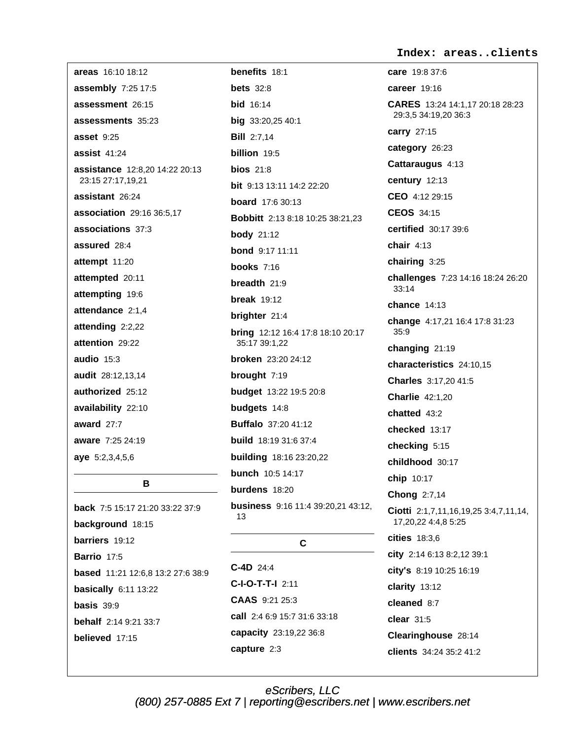Index: areas..clients

areas 16:10 18:12 assembly 7:25 17:5 assessment 26:15 assessments 35:23 **asset** 9:25 assist 41:24 assistance 12:8,20 14:22 20:13 23:15 27:17,19,21 assistant 26:24 association 29:16 36:5,17 associations 37:3 assured 28:4 attempt 11:20 attempted 20:11 attempting 19:6 attendance 2:1,4 attending 2:2,22 attention 29:22 audio  $15:3$ audit 28:12,13,14 authorized 25:12 availability 22:10 award  $27:7$ aware 7:25 24:19 aye 5:2,3,4,5,6 B

back 7:5 15:17 21:20 33:22 37:9

based 11:21 12:6.8 13:2 27:6 38:9

background 18:15

basically 6:11 13:22

**behalf** 2:14 9:21 33:7

believed 17:15

barriers 19:12

Barrio 17:5

basis  $39:9$ 

# big 33:20,25 40:1 **Bill** 2:7,14 billion 19:5 bios  $21:8$ bit 9:13 13:11 14:2 22:20 **board** 17:6 30:13 **Bobbitt** 2:13 8:18 10:25 38:21,23 **body** 21:12 **bond** 9:17 11:11 books  $7.16$ breadth 21:9 **break** 19:12 brighter 21:4 bring 12:12 16:4 17:8 18:10 20:17 35:17 39:1,22 **broken** 23:20 24:12 brought 7:19 **budget** 13:22 19:5 20:8 **budgets** 14:8 **Buffalo** 37:20 41:12 **build** 18:19 31:6 37:4 **building** 18:16 23:20,22 **bunch** 10:5 14:17 burdens 18:20 business 9:16 11:4 39:20,21 43:12, 13

benefits 18:1

bets  $32:8$ 

**bid** 16:14

 $\mathbf{C}$ 

 $C-4D$  24.4 C-I-O-T-T-I 2:11 CAAS 9:21 25:3 call 2:4 6:9 15:7 31:6 33:18 capacity 23:19,22 36:8 capture 2:3

care 19:8 37:6 career 19:16 CARES 13:24 14:1,17 20:18 28:23 29:3,5 34:19,20 36:3 carry 27:15 category 26:23 Cattaraugus 4:13 century 12:13 CEO 4:12 29:15 CEOS 34:15 certified 30:17 39:6 chair  $4:13$ chairing 3:25 challenges 7:23 14:16 18:24 26:20  $33:14$ **chance** 14:13 change 4:17,21 16:4 17:8 31:23 35:9 changing 21:19 characteristics 24:10,15 Charles 3:17,20 41:5 **Charlie** 42:1,20 chatted 43:2 checked 13:17 checking 5:15 childhood 30:17 chip 10:17 **Chong 2:7,14** Ciotti 2:1,7,11,16,19,25 3:4,7,11,14, 17,20,22 4:4,8 5:25 cities 18:3,6 city 2:14 6:13 8:2,12 39:1 city's 8:19 10:25 16:19 clarity  $13:12$ cleaned 8:7 clear  $31:5$ Clearinghouse 28:14 clients 34:24 35:2 41:2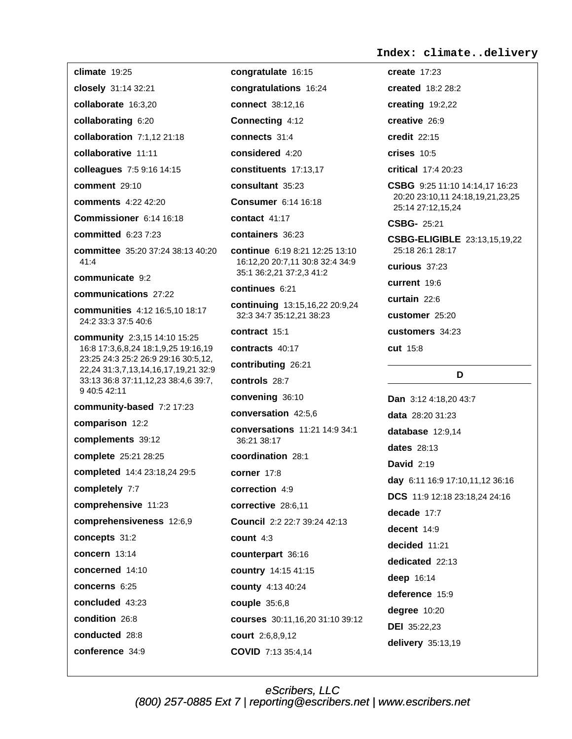climate  $19:25$ closely 31:14 32:21 collaborate 16:3,20 collaborating 6:20 collaboration 7:1,12 21:18 collaborative 11:11 colleagues 7:5 9:16 14:15 comment 29:10 **comments** 4:22 42:20 Commissioner 6:14 16:18 committed  $6:23.7:23$ committee 35:20 37:24 38:13 40:20  $41:4$ communicate 9:2 communications 27:22 **communities** 4:12 16:5.10 18:17 24:2 33:3 37:5 40:6 community 2:3,15 14:10 15:25 16:8 17:3,6,8,24 18:1,9,25 19:16,19 23:25 24:3 25:2 26:9 29:16 30:5,12, 22,24 31:3,7,13,14,16,17,19,21 32:9 33:13 36:8 37:11,12,23 38:4,6 39:7, 9 40:5 42:11 community-based 7:2 17:23 comparison 12:2 complements 39:12 complete 25:21 28:25 completed 14:4 23:18,24 29:5 completely 7:7 comprehensive 11:23 comprehensiveness 12:6,9 concepts 31:2 concern 13:14 concerned 14:10

concerns 6:25 concluded 43:23 condition 26:8 conducted 28:8

conference 34:9

connect 38:12,16 Connecting 4:12 connects 31:4 considered 4:20 constituents 17:13.17 consultant 35:23 Consumer 6:14 16:18 contact  $41:17$ containers 36:23 continue 6:19 8:21 12:25 13:10 16:12,20 20:7,11 30:8 32:4 34:9 35:1 36:2,21 37:2,3 41:2 continues 6:21 continuing 13:15,16,22 20:9,24 32:3 34:7 35:12.21 38:23 contract 15:1 contracts 40:17 contributing 26:21 controls 28:7 convening 36:10 conversation 42:5.6 conversations 11:21 14:9 34:1 36:21 38:17 coordination 28:1 corner 17:8 correction 4:9 corrective 28:6,11 **Council** 2:2 22:7 39:24 42:13 count  $4:3$ counterpart 36:16 country 14:15 41:15 county 4:13 40:24 couple  $35:6.8$ courses 30:11,16,20 31:10 39:12 court 2:6,8,9,12 **COVID** 7:13 35:4,14

congratulate 16:15

congratulations 16:24

Index: climate..delivery

create  $17:23$ 

created 18:2 28:2 creating  $19:2,22$ creative 26:9 credit 22:15 crises 10:5 critical 17:4 20:23 CSBG 9:25 11:10 14:14,17 16:23 20:20 23:10,11 24:18,19,21,23,25 25:14 27:12,15,24 CSBG- 25:21 CSBG-ELIGIBLE 23:13,15,19,22 25:18 26:1 28:17 curious 37:23 current 19:6 curtain 22:6 customer 25:20 customers 34:23 cut 15:8

### D

Dan 3:12 4:18,20 43:7 data 28:20 31:23 database 12:9.14 **dates** 28:13 **David** 2:19 day 6:11 16:9 17:10,11,12 36:16 DCS 11:9 12:18 23:18,24 24:16 decade 17:7 decent 14:9 decided 11:21 dedicated 22:13 deep 16:14 deference 15:9 degree 10:20 **DEI** 35:22,23 delivery 35:13,19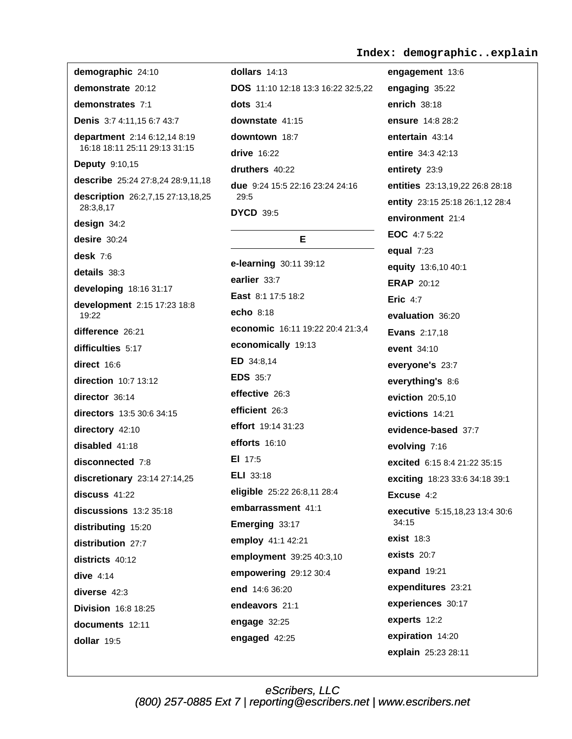demographic 24:10 demonstrate 20:12 demonstrates 7:1 **Denis** 3:7 4:11.15 6:7 43:7 department 2:14 6:12,14 8:19 16:18 18:11 25:11 29:13 31:15 **Deputy 9:10,15** describe 25:24 27:8,24 28:9,11,18 description 26:2,7,15 27:13,18,25 28:3,8,17 design  $34:2$ desire  $30:24$  **7:6** details 38:3 developing 18:16 31:17 development 2:15 17:23 18:8  $19.22$ difference 26:21 difficulties 5:17 direct 16:6 direction 10:7 13:12 director 36:14 directors 13:5 30:6 34:15 directory 42:10 disabled 41:18 disconnected 7:8 discretionary 23:14 27:14,25 discuss  $41:22$ discussions 13:2 35:18 distributing 15:20 distribution 27:7 districts 40:12 dive  $4:14$ diverse 42:3 **Division 16:8 18:25** documents 12:11 dollar  $19:5$ 

dollars  $14:13$ DOS 11:10 12:18 13:3 16:22 32:5.22 dots  $31:4$ downstate 41:15 downtown 18:7 drive 16:22 druthers 40:22 due 9:24 15:5 22:16 23:24 24:16 29:5 **DYCD 39:5** E e-learning 30:11 39:12 earlier 33:7 East 8:1 17:5 18:2 echo 8:18 economic 16:11 19:22 20:4 21:3,4 economically 19:13 ED 34:8.14 **EDS** 35:7 effective 26:3

efficient 26:3 effort 19:14 31:23 efforts 16:10 EI 17:5 **ELI** 33:18 eligible 25:22 26:8,11 28:4 embarrassment 41:1 Emerging 33:17 employ 41:1 42:21 employment 39:25 40:3,10 empowering 29:12 30:4 end 14:6 36:20 endeavors 21:1 engage 32:25 engaged 42:25

# Index: demographic..explain engagement 13:6 engaging 35:22

enrich  $38:18$ ensure 14:8 28:2 entertain  $43.14$ entire 34:3 42:13 entirety 23:9 entities 23:13,19,22 26:8 28:18 entity 23:15 25:18 26:1,12 28:4 environment 21:4 EOC 4:7 5:22 equal  $7:23$ equity 13:6,10 40:1 **ERAP 20:12** Eric  $4:7$ evaluation 36:20 **Evans** 2:17.18 event 34:10 everyone's 23:7 everything's 8:6 eviction 20:5,10 evictions 14:21 evidence-based 37:7 evolving 7:16 excited 6:15 8:4 21:22 35:15 exciting 18:23 33:6 34:18 39:1 Excuse 4:2 executive 5:15,18,23 13:4 30:6 34:15 **exist 18:3** exists 20:7 **expand** 19:21 expenditures 23:21 experiences 30:17 experts 12:2 expiration 14:20 explain 25:23 28:11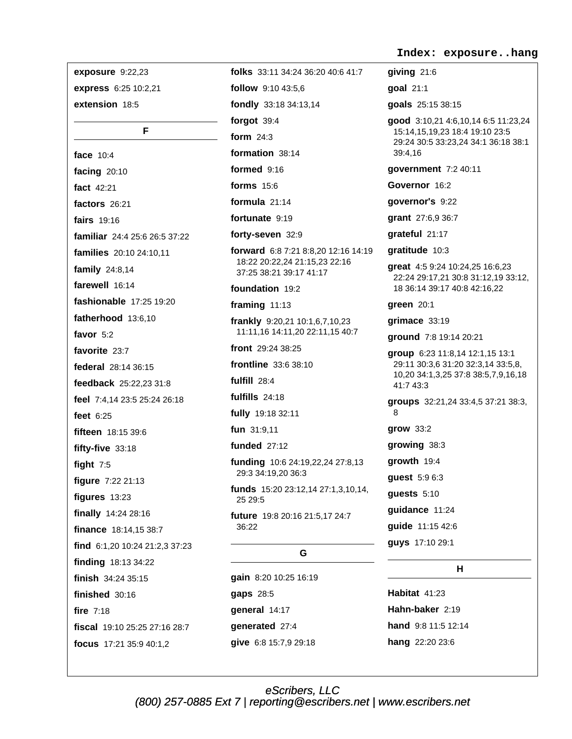exposure 9:22,23 express 6:25 10:2,21 extension 18:5

F

face 10:4 facing  $20:10$ fact 42:21 factors 26:21 fairs 19:16 familiar 24:4 25:6 26:5 37:22 families 20:10 24:10.11 family  $24:8,14$ farewell 16:14 fashionable 17:25 19:20 fatherhood 13:6.10 favor  $5:2$ favorite 23:7 federal 28:14 36:15 feedback 25:22,23 31:8 feel 7:4.14 23:5 25:24 26:18 feet  $6:25$ fifteen 18:15 39:6 fifty-five 33:18 fight  $7:5$ figure  $7:22$  21:13 figures  $13:23$ finally 14:24 28:16 finance 18:14,15 38:7 find 6:1,20 10:24 21:2,3 37:23 finding  $18:1334:22$ finish  $34:2435:15$ finished 30:16 fire  $7:18$ fiscal 19:10 25:25 27:16 28:7 focus 17:21 35:9 40:1.2

folks 33:11 34:24 36:20 40:6 41:7 follow 9:10 43:5.6 **fondly** 33:18 34:13,14 forgot  $39:4$ form  $24:3$ formation 38:14 formed 9:16 forms  $15:6$ formula  $21:14$ fortunate 9:19 forty-seven 32:9 forward 6:8 7:21 8:8,20 12:16 14:19 18:22 20:22,24 21:15,23 22:16 37:25 38:21 39:17 41:17 foundation 19:2 framing  $11:13$ frankly 9:20,21 10:1,6,7,10,23 11:11,16 14:11,20 22:11,15 40:7 front 29:24 38:25 frontline 33:6 38:10 fulfill 28:4 fulfills 24:18 fully 19:18 32:11 fun 31:9.11 **funded** 27:12 funding 10:6 24:19,22,24 27:8,13 29:3 34:19,20 36:3 funds 15:20 23:12,14 27:1,3,10,14, 25 29:5 future 19:8 20:16 21:5,17 24:7 36:22 G. gain 8:20 10:25 16:19 gaps 28:5

qeneral 14:17 generated 27:4 give 6:8 15:7,9 29:18 Index: exposure..hang

giving 21:6 goal 21:1 goals 25:15 38:15 good 3:10,21 4:6,10,14 6:5 11:23,24 15:14,15,19,23 18:4 19:10 23:5 29:24 30:5 33:23,24 34:1 36:18 38:1 39:4.16 government 7:2 40:11 Governor 16:2 governor's 9:22 grant 27:6,9 36:7 grateful 21:17 gratitude 10:3 great 4:5 9:24 10:24,25 16:6,23 22:24 29:17,21 30:8 31:12,19 33:12, 18 36:14 39:17 40:8 42:16,22  $green 20:1$ grimace 33:19 ground 7:8 19:14 20:21 group 6:23 11:8,14 12:1,15 13:1 29:11 30:3,6 31:20 32:3,14 33:5,8, 10,20 34:1,3,25 37:8 38:5,7,9,16,18 41:7 43:3 groups 32:21,24 33:4,5 37:21 38:3, 8 grow 33:2 growing 38:3 growth 19:4 guest 5:9 6:3 guests  $5:10$ 

guidance 11:24

quide 11:15 42:6

guys 17:10 29:1

### H.

Habitat 41:23 Hahn-baker 2:19 hand 9:8 11:5 12:14 **hang** 22:20 23:6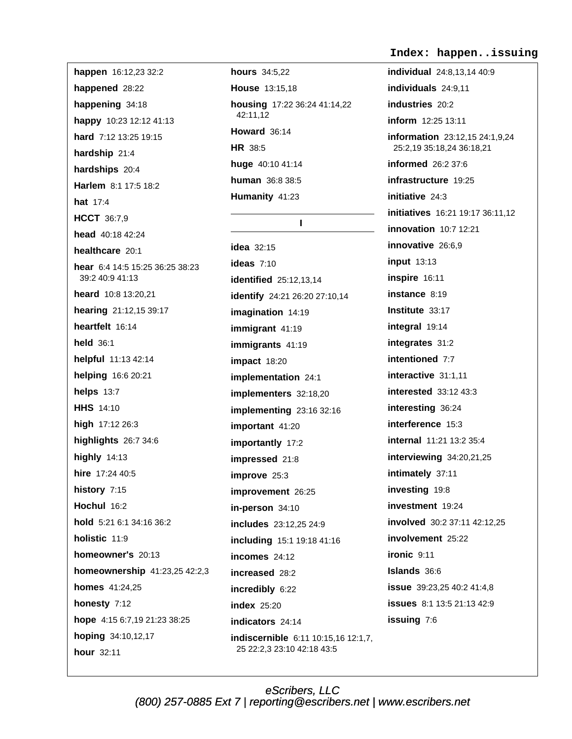happen 16:12,23 32:2 happened 28:22 happening 34:18 happy 10:23 12:12 41:13 hard 7:12 13:25 19:15 hardship 21:4 hardships 20:4 Harlem 8:1 17:5 18:2 hat 17:4 **HCCT** 36:7,9 head 40:18 42:24 healthcare 20:1 hear 6:4 14:5 15:25 36:25 38:23 39:2 40:9 41:13 heard 10:8 13:20.21 hearing 21:12,15 39:17 heartfelt 16:14 held 36:1 helpful 11:13 42:14 helping 16:6 20:21 helps 13:7 **HHS** 14:10 high 17:12 26:3 highlights 26:7 34:6 highly 14:13 hire 17:24 40:5 history 7:15 Hochul 16:2 hold 5:21 6:1 34:16 36:2 holistic 11:9 homeowner's 20:13 homeownership 41:23,25 42:2,3 **homes** 41:24,25 honesty 7:12 hope 4:15 6:7,19 21:23 38:25 hoping 34:10,12,17 hour 32:11

**hours** 34:5.22 House 13:15,18 housing 17:22 36:24 41:14,22 42:11.12 Howard 36:14 HR 38:5 huge 40:10 41:14 human 36:8 38:5 Humanity 41:23

 $\mathbf{L}$ 

**idea** 32:15 ideas  $7:10$ **identified** 25:12,13,14 identify 24:21 26:20 27:10,14 imagination 14:19 immigrant 41:19 immigrants 41:19 impact 18:20 implementation 24:1 implementers 32:18,20 implementing 23:16 32:16 important 41:20 importantly 17:2 impressed 21:8 improve 25:3 improvement 26:25 in-person 34:10 includes 23:12,25 24:9 **including** 15:1 19:18 41:16 incomes  $24:12$ increased  $28.2$ incredibly 6:22 **index** 25:20 indicators 24:14 indiscernible 6:11 10:15.16 12:1.7. 25 22:2,3 23:10 42:18 43:5

#### Index: happen..issuing

**individual** 24:8.13.14 40:9 individuals 24:9,11 industries 20:2 inform 12:25 13:11 information 23:12,15 24:1,9,24 25:2,19 35:18,24 36:18,21 **informed** 26:2 37:6 infrastructure 19:25 initiative 24:3 initiatives 16:21 19:17 36:11,12 **innovation** 10:7 12:21 innovative 26:6.9 **input** 13:13 inspire 16:11 instance 8:19 Institute 33:17 integral 19:14 integrates 31:2 intentioned 7:7 interactive 31:1,11 **interested** 33:12 43:3 interesting 36:24 interference 15:3 internal 11:21 13:2 35:4 interviewing 34:20,21,25 intimately 37:11 investing 19:8 investment 19:24 involved 30:2 37:11 42:12,25 involvement 25:22 ironic  $9:11$ Islands 36:6 **issue** 39:23,25 40:2 41:4,8 **issues** 8:1 13:5 21:13 42:9 issuing 7:6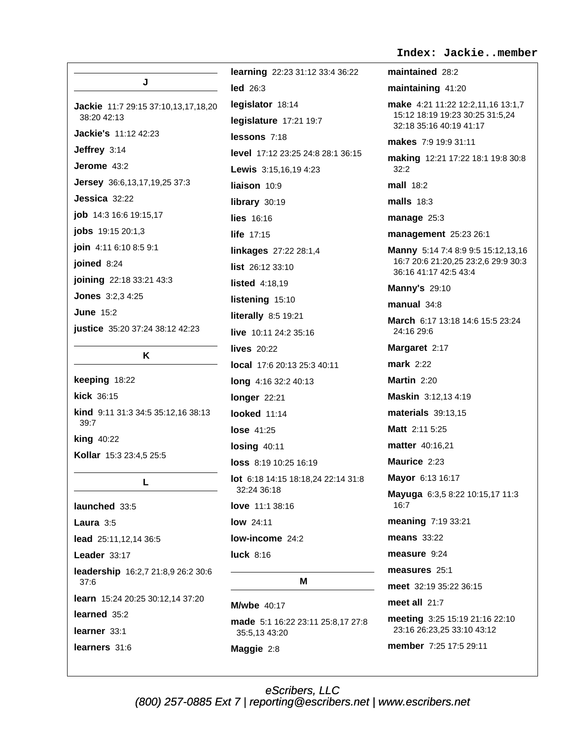| J                                                  |
|----------------------------------------------------|
| Jackie 11:7 29:15 37:10,13,17,18,20<br>38:20 42:13 |
| <b>Jackie's</b> 11:12 42:23                        |
| <b>Jeffrey</b> 3:14                                |
| <b>Jerome</b> $43:2$                               |
| <b>Jersey</b> $36:6,13,17,19,2537:3$               |
| <b>Jessica</b> $32:22$                             |
| <b>job</b> $14:3$ 16:6 19:15,17                    |
| <b>jobs</b> $19:1520:1,3$                          |
| join 4:11 6:10 8:5 9:1                             |
| joined 8:24                                        |
| <b>joining</b> 22:18 33:21 43:3                    |
| <b>Jones</b> $3:2.34:25$                           |
| June $15:2$                                        |
| <b>justice</b> 35:20 37:24 38:12 42:23             |

K

keeping 18:22 kick 36:15 kind 9:11 31:3 34:5 35:12,16 38:13  $39:7$ **king 40:22** Kollar 15:3 23:4,5 25:5

L

launched 33:5 Laura  $3:5$ lead 25:11,12,14 36:5 Leader 33:17 leadership 16:2,7 21:8,9 26:2 30:6  $37:6$ learn 15:24 20:25 30:12,14 37:20 learned 35:2 learner 33:1

learners 31:6

learning 22:23 31:12 33:4 36:22 **led** 26:3 legislator 18:14 legislature 17:21 19:7 lessons 7:18 level 17:12 23:25 24:8 28:1 36:15 Lewis 3:15,16,19 4:23 liaison 10:9 library 30:19 lies 16:16 life  $17:15$ linkages 27:22 28:1,4 list 26:12 33:10 **listed** 4:18,19 listening 15:10 **literally** 8:5 19:21 live 10:11 24:2 35:16 **lives** 20:22 local 17:6 20:13 25:3 40:11 long 4:16 32:2 40:13 longer 22:21 looked 11:14 lose 41:25 **losing 40:11** loss 8:19 10:25 16:19 lot 6:18 14:15 18:18,24 22:14 31:8 32:24 36:18 love 11:1.38:16 **low** 24:11 low-income 24:2 **luck 8:16** 

## M

**M/wbe** 40:17 made 5:1 16:22 23:11 25:8,17 27:8 35:5,13 43:20

Maggie 2:8

Index: Jackie..member

maintained 28:2

maintaining 41:20

make 4:21 11:22 12:2,11,16 13:1,7 15:12 18:19 19:23 30:25 31:5,24 32:18 35:16 40:19 41:17

makes 7:9 19:9 31:11

making 12:21 17:22 18:1 19:8 30:8  $32:2$ 

mall 18:2

**malls** 18:3

manage 25:3

management 25:23 26:1

Manny 5:14 7:4 8:9 9:5 15:12,13,16 16:7 20:6 21:20,25 23:2,6 29:9 30:3 36:16 41:17 42:5 43:4

**Manny's 29:10** 

manual  $34:8$ 

March 6:17 13:18 14:6 15:5 23:24 24:16 29:6

Margaret 2:17

**mark** 2:22

Martin 2:20

Maskin 3:12,13 4:19

materials 39:13,15

Matt 2:11 5:25

matter 40:16.21

Maurice 2:23

Mayor 6:13 16:17

Mayuga 6:3,5 8:22 10:15,17 11:3 16:7

meaning 7:19 33:21

means  $33:22$ 

measure 9:24

measures 25:1

meet 32:19 35:22 36:15

meet all  $21:7$ 

meeting 3:25 15:19 21:16 22:10 23:16 26:23,25 33:10 43:12

member 7:25 17:5 29:11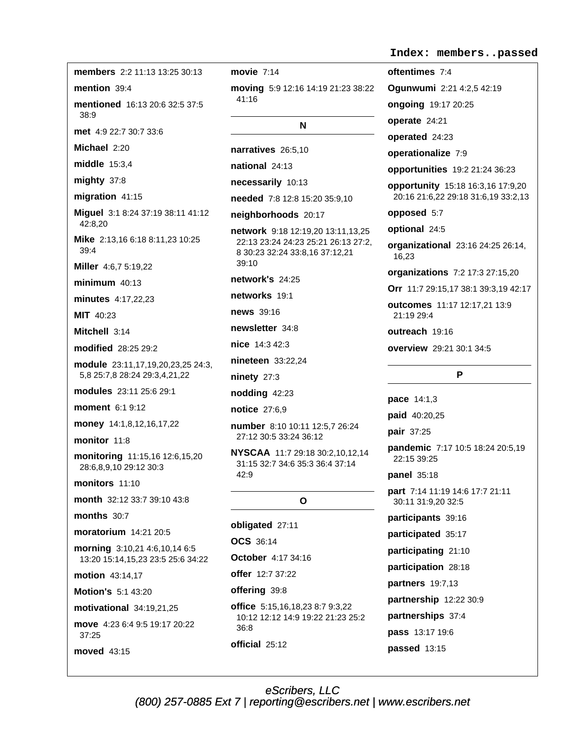members 2:2 11:13 13:25 30:13 mention 39:4 mentioned 16:13 20:6 32:5 37:5  $38:9$ met 4:9 22:7 30:7 33:6 Michael 2:20 middle 15:3,4 mighty 37:8 migration 41:15 Miguel 3:1 8:24 37:19 38:11 41:12 42:8.20 Mike 2:13,16 6:18 8:11,23 10:25 39:4 Miller 4:6,7 5:19,22  $minimum$  40:13 minutes 4:17,22,23 MIT  $40.23$ Mitchell 3:14 modified 28:25 29:2 module 23:11,17,19,20,23,25 24:3, 5,8 25:7,8 28:24 29:3,4,21,22 modules 23:11 25:6 29:1 moment 6:1 9:12 money 14:1,8,12,16,17,22 monitor 11:8 monitoring 11:15,16 12:6,15,20 28:6,8,9,10 29:12 30:3 monitors 11:10 month 32:12 33:7 39:10 43:8 months 30:7 moratorium 14:21 20:5 morning 3:10,21 4:6,10,14 6:5 13:20 15:14,15,23 23:5 25:6 34:22 motion 43:14,17 Motion's 5:1 43:20 motivational 34:19,21,25 move 4:23 6:4 9:5 19:17 20:22 37:25 moved  $43:15$ 

movie  $7:14$ 

moving 5:9 12:16 14:19 21:23 38:22 41:16

#### N

narratives 26:5,10

national 24:13

necessarily 10:13

needed 7:8 12:8 15:20 35:9,10

neighborhoods 20:17

network 9:18 12:19,20 13:11,13,25 22:13 23:24 24:23 25:21 26:13 27:2. 8 30:23 32:24 33:8,16 37:12,21 39:10

network's 24:25

networks 19:1

news 39:16

newsletter 34:8

nice 14:3 42:3

nineteen 33:22.24

ninety  $27:3$ 

nodding 42:23

notice 27:6,9

number 8:10 10:11 12:5,7 26:24 27:12 30:5 33:24 36:12

NYSCAA 11:7 29:18 30:2,10,12,14 31:15 32:7 34:6 35:3 36:4 37:14  $42:9$ 

#### $\Omega$

obligated 27:11 OCS 36:14 October 4:17.34:16 offer 12:7 37:22 offering 39:8 office 5:15,16,18,23 8:7 9:3,22 10:12 12:12 14:9 19:22 21:23 25:2 36:8

official  $25:12$ 

Index: members..passed

oftentimes 7:4

Ogunwumi 2:21 4:2,5 42:19

**ongoing** 19:17 20:25

operate 24:21

operated 24:23

operationalize 7:9

opportunities 19:2 21:24 36:23

opportunity 15:18 16:3,16 17:9,20 20:16 21:6.22 29:18 31:6.19 33:2.13

opposed 5:7

optional 24:5

organizational 23:16 24:25 26:14, 16,23

organizations 7:2 17:3 27:15,20

Orr 11:7 29:15,17 38:1 39:3,19 42:17

outcomes 11:17 12:17,21 13:9 21:19 29:4

outreach 19:16

overview 29:21 30:1 34:5

#### P

pace 14:1,3

paid 40:20,25

pair 37:25

pandemic 7:17 10:5 18:24 20:5,19 22:15 39:25

panel 35:18

part 7:14 11:19 14:6 17:7 21:11 30:11 31:9,20 32:5

participants 39:16

participated 35:17

participating 21:10

participation 28:18

partners 19:7,13

partnership 12:22 30:9

- partnerships 37:4
- pass 13:17 19:6
- passed 13:15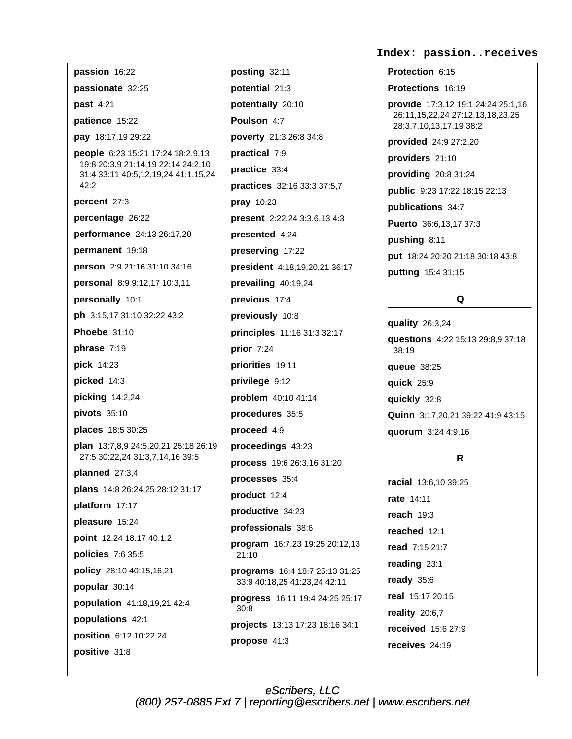passion 16:22 passionate 32:25 past 4:21 patience 15:22 pay 18:17,19 29:22 people 6:23 15:21 17:24 18:2,9,13 19:8 20:3,9 21:14,19 22:14 24:2,10 31:4 33:11 40:5,12,19,24 41:1,15,24  $42:2$ percent 27:3 percentage 26:22 performance 24:13 26:17,20 permanent 19:18 person 2:9 21:16 31:10 34:16 personal 8:9 9:12,17 10:3,11 personally 10:1 ph 3:15,17 31:10 32:22 43:2 **Phoebe** 31:10 phrase 7:19 pick 14:23 picked 14:3 picking 14:2,24  $pivots$  35:10 places 18:5 30:25 plan 13:7,8,9 24:5,20,21 25:18 26:19 27:5 30:22,24 31:3,7,14,16 39:5 planned  $27:3,4$ plans 14:8 26:24,25 28:12 31:17 platform 17:17 pleasure 15:24 point 12:24 18:17 40:1,2 policies 7:6 35:5 policy 28:10 40:15,16,21 popular 30:14 population 41:18,19,21 42:4 populations 42:1

position 6:12 10:22,24

positive 31:8

posting 32:11 potential 21:3 potentially 20:10 Poulson 4:7 poverty 21:3 26:8 34:8 practical 7:9 practice 33:4 practices 32:16 33:3 37:5,7 pray 10:23 **present** 2:22,24 3:3,6,13 4:3 presented 4:24 preserving 17:22 president 4:18,19,20,21 36:17 prevailing 40:19,24 previous 17:4 previously 10:8 principles 11:16 31:3 32:17 prior  $7:24$ priorities 19:11 privilege 9:12 problem 40:10 41:14 procedures 35:5 proceed 4:9 proceedings 43:23 process 19:6 26:3,16 31:20 processes 35:4 product 12:4 productive 34:23 professionals 38:6 program 16:7,23 19:25 20:12,13  $21:10$ programs 16:4 18:7 25:13 31:25 33:9 40:18,25 41:23,24 42:11 progress 16:11 19:4 24:25 25:17  $30:8$ projects 13:13 17:23 18:16 34:1 propose 41:3

## Index: passion..receives

Protection 6:15 Protections 16:19 **provide** 17:3,12 19:1 24:24 25:1,16 26:11, 15, 22, 24 27:12, 13, 18, 23, 25 28:3,7,10,13,17,19 38:2 provided 24:9 27:2,20 providers 21:10 providing 20:8 31:24 public 9:23 17:22 18:15 22:13 publications 34:7 **Puerto** 36:6,13,17 37:3 pushing 8:11 put 18:24 20:20 21:18 30:18 43:8 **putting** 15:4 31:15

# Q

quality 26:3,24 questions 4:22 15:13 29:8,9 37:18 38:19 queue 38:25 quick 25:9

quickly 32:8

Quinn 3:17,20,21 39:22 41:9 43:15

quorum 3:24 4:9,16

## $\mathsf{R}$

racial 13:6,10 39:25 rate 14:11 reach  $19:3$ reached 12:1 read 7:15 21:7 reading 23:1 ready 35:6 real 15:17 20:15 reality  $20:6,7$ **received** 15:6.27:9 receives 24:19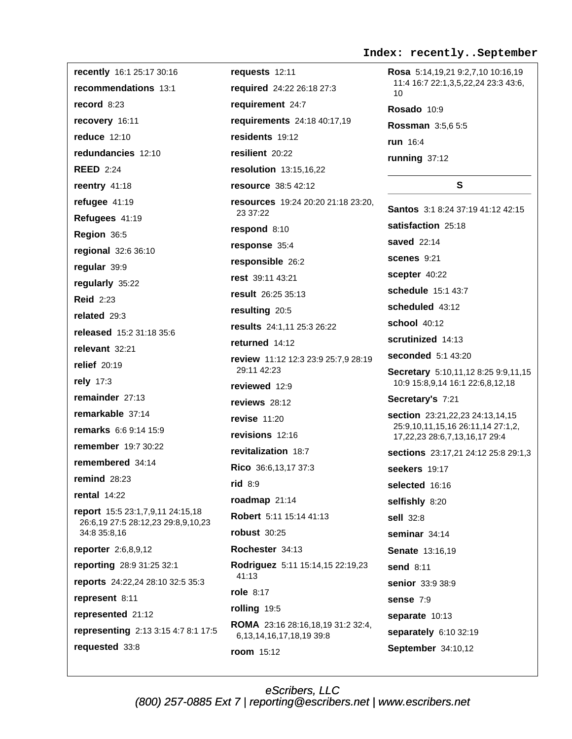#### Index: recently..September

recently 16:1 25:17 30:16 requests 12:11 recommendations 13:1 record  $8:23$ recovery 16:11 reduce  $12:10$ redundancies 12:10 **REED 2:24** reentry  $41:18$ refugee 41:19 Refugees 41:19 Region 36:5 regional 32:6 36:10 regular 39:9 regularly 35:22 **Reid 2:23** related 29:3 released 15:2 31:18 35:6 relevant 32:21 relief 20:19 rely 17:3 remainder 27:13 remarkable 37:14 **remarks** 6:6 9:14 15:9 **remember** 19:7 30:22 remembered 34:14 remind  $28:23$ rental  $14:22$ report 15:5 23:1,7,9,11 24:15,18 26:6,19 27:5 28:12,23 29:8,9,10,23 34:8 35:8,16 reporter 2:6,8,9,12 reporting 28:9 31:25 32:1 reports 24:22,24 28:10 32:5 35:3 represent 8:11 represented 21:12 representing 2:13 3:15 4:7 8:1 17:5 requested 33:8

required 24:22 26:18 27:3 requirement 24:7 requirements 24:18 40:17,19 residents 19:12 resilient 20:22 resolution 13:15,16,22 resource 38:5 42:12 resources 19:24 20:20 21:18 23:20. 23 37:22 respond 8:10 response 35:4 responsible 26:2 rest 39:11 43:21 result 26:25 35:13 resulting 20:5 results 24:1,11 25:3 26:22 returned 14:12 review 11:12 12:3 23:9 25:7,9 28:19 29:11 42:23 reviewed 12:9 reviews  $28:12$ revise  $11:20$ revisions 12:16 revitalization 18:7 Rico 36:6,13,17 37:3 rid 8:9 roadmap  $21:14$ Robert 5:11 15:14 41:13 robust 30:25 Rochester 34:13 Rodriguez 5:11 15:14,15 22:19,23 41:13 role  $8:17$ rolling 19:5 ROMA 23:16 28:16,18,19 31:2 32:4, 6, 13, 14, 16, 17, 18, 19 39: 8 room 15:12

Rosa 5:14,19,21 9:2,7,10 10:16,19 11:4 16:7 22:1,3,5,22,24 23:3 43:6,  $10<sup>1</sup>$ Rosado 10:9 **Rossman** 3:5.6 5:5 run 16:4 running 37:12 S Santos 3:1 8:24 37:19 41:12 42:15

satisfaction 25:18 saved 22:14 scenes 9:21 scepter 40:22 schedule 15:1 43:7 scheduled 43:12 school 40:12 scrutinized 14:13 seconded 5:1 43:20 Secretary 5:10,11,12 8:25 9:9,11,15 10:9 15:8,9,14 16:1 22:6,8,12,18 Secretary's 7:21 section 23:21,22,23 24:13,14,15 25:9,10,11,15,16 26:11,14 27:1,2, 17, 22, 23 28: 6, 7, 13, 16, 17 29: 4 sections 23:17,21 24:12 25:8 29:1,3 seekers 19:17 selected 16:16 selfishly 8:20 sell 32:8 seminar 34:14 **Senate** 13:16,19 send  $8:11$ senior 33:9 38:9 sense 7:9 separate 10:13 separately 6:10 32:19 September 34:10,12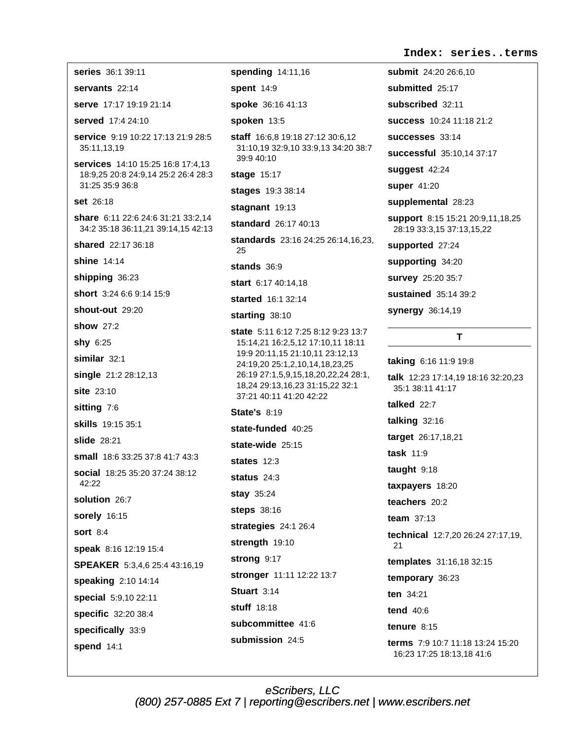series 36:1 39:11 servants 22:14 serve 17:17 19:19 21:14 served 17:4 24:10 service 9:19 10:22 17:13 21:9 28:5 35:11,13,19 services 14:10 15:25 16:8 17:4,13 18:9,25 20:8 24:9,14 25:2 26:4 28:3 31:25 35:9 36:8 set 26:18 share 6:11 22:6 24:6 31:21 33:2.14 34:2 35:18 36:11.21 39:14.15 42:13 shared 22:17 36:18 shine 14:14 shipping 36:23 short 3:24 6:6 9:14 15:9 shout-out 29:20 **show** 27:2 shy 6:25 similar  $32:1$ single 21:2 28:12,13 site 23:10 sitting 7:6 skills 19:15 35:1 slide 28:21 small 18:6 33:25 37:8 41:7 43:3 social 18:25 35:20 37:24 38:12 42:22 solution 26:7 sorely 16:15 **sort 8:4** speak 8:16 12:19 15:4 SPEAKER 5:3,4,6 25:4 43:16,19 speaking 2:10 14:14 special 5:9,10 22:11 specific 32:20 38:4 specifically 33:9 spend 14:1

spending 14:11,16 spent 14:9 spoke 36:16 41:13 spoken 13:5 staff 16:6.8 19:18 27:12 30:6.12 31:10,19 32:9,10 33:9,13 34:20 38:7 39:9 40:10 stage 15:17 stages 19:3 38:14 stagnant 19:13 standard 26:17 40:13 standards 23:16 24:25 26:14.16.23. 25 stands  $36:9$ start 6:17 40:14.18 started 16:1 32:14 starting 38:10 state 5:11 6:12 7:25 8:12 9:23 13:7 15:14.21 16:2.5.12 17:10.11 18:11 19:9 20:11,15 21:10,11 23:12,13 24:19,20 25:1,2,10,14,18,23,25 26:19 27:1,5,9,15,18,20,22,24 28:1, 18,24 29:13,16,23 31:15,22 32:1 37:21 40:11 41:20 42:22 **State's 8:19** state-funded 40:25 state-wide 25:15 states  $12:3$ status  $24:3$ stay 35:24 steps 38:16 strategies 24:1 26:4 strength 19:10 strong 9:17 stronger 11:11 12:22 13:7 Stuart  $3:14$ stuff 18:18 subcommittee 41:6 submission 24:5

#### Index: series..terms

submit 24:20 26:6.10

submitted 25:17

subscribed 32:11

success 10:24 11:18 21:2

successes 33:14

successful 35:10,14 37:17

suggest 42:24

super 41:20

supplemental 28:23

support 8:15 15:21 20:9,11,18,25 28:19 33:3,15 37:13,15,22

supported 27:24

supporting 34:20

survey 25:20 35:7

sustained 35:14 39:2

synergy 36:14,19

#### T.

taking 6:16 11:9 19:8 talk 12:23 17:14,19 18:16 32:20,23 35:1 38:11 41:17 talked 22:7 talking  $32:16$ target 26:17,18,21 task  $11:9$ taught  $9:18$ taxpayers 18:20 teachers 20:2 team  $37:13$ technical 12:7,20 26:24 27:17,19,  $21$ templates 31:16,18 32:15 temporary 36:23 ten 34:21 tend  $40:6$ tenure  $8:15$ terms 7:9 10:7 11:18 13:24 15:20

16:23 17:25 18:13,18 41:6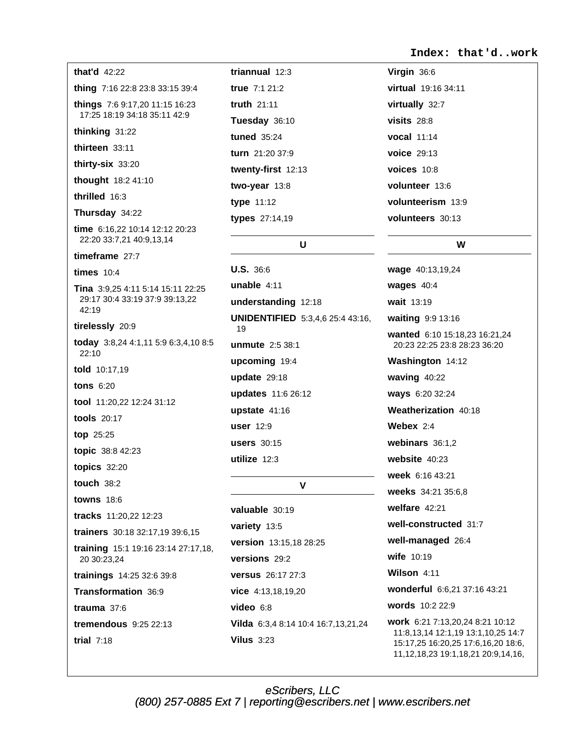### Index: that'd..work

| that'd $42:22$                                                               |
|------------------------------------------------------------------------------|
| thing 7:16 22:8 23:8 33:15 39:4                                              |
| things 7:6 9:17,20 11:15 16:23<br>17:25 18:19 34:18 35:11 42:9               |
| thinking 31:22                                                               |
| thirteen $33:11$                                                             |
| thirty-six 33:20                                                             |
| thought 18:2 41:10                                                           |
| thrilled 16:3                                                                |
| Thursday 34:22                                                               |
| time 6:16,22 10:14 12:12 20:23<br>22:20 33:7,21 40:9,13,14                   |
| timeframe $27:7$                                                             |
| times $10:4$                                                                 |
| Tina 3:9,25 4:11 5:14 15:11 22:25<br>29:17 30:4 33:19 37:9 39:13,22<br>42:19 |
| tirelessly 20:9                                                              |
| today 3:8,24 4:1,11 5:9 6:3,4,10 8:5<br>22:10                                |
| <b>told</b> $10:17,19$                                                       |
| tons $6:20$                                                                  |
| tool 11:20,22 12:24 31:12                                                    |
| <b>tools</b> 20:17                                                           |
| top 25:25                                                                    |
| topic 38:8 42:23                                                             |
| <b>topics</b> 32:20                                                          |
| touch $38:2$                                                                 |
| towns $18:6$                                                                 |
| <b>tracks</b> 11:20,22 12:23                                                 |
| trainers 30:18 32:17,19 39:6,15                                              |
| training 15:1 19:16 23:14 27:17,18,<br>20 30:23,24                           |
| trainings 14:25 32:6 39:8                                                    |
| <b>Transformation 36:9</b>                                                   |
| trauma $37:6$                                                                |
| tremendous $9:252:13$                                                        |
| trial $7:18$                                                                 |

| triannual $12:3$      |
|-----------------------|
| true $7:1.21:2$       |
| truth 21:11           |
| Tuesday 36:10         |
| tuned $35:24$         |
| turn $21:20.37:9$     |
| twenty-first 12:13    |
| two-year $13:8$       |
| type 11:12            |
| <b>types</b> 27:14,19 |
|                       |
|                       |

# $U.S. 366$ unable  $4:11$ understanding 12:18 **UNIDENTIFIED** 5:3,4,6 25:4 43:16, 19 unmute 2:5 38:1 upcoming 19:4 update 29:18 updates 11:6 26:12 upstate 41:16 **user** 12:9 **users** 30:15 utilize  $12:3$

### $\mathbf{V}$

valuable 30:19 variety 13:5 version 13:15,18 28:25 versions 29:2 versus 26:17 27:3 vice 4:13,18,19,20 video  $6:8$ Vilda 6:3,4 8:14 10:4 16:7,13,21,24 **Vilus 3:23** 

| Virgin 36:6                |
|----------------------------|
| <b>virtual</b> 19:16 34:11 |
| virtually 32:7             |
| visits $28:8$              |
| vocal 11:14                |
| <b>voice</b> 29:13         |
| voices $10:8$              |
| volunteer 13:6             |
| volunteerism 13:9          |
| volunteers 30:13           |
|                            |
|                            |

wage 40:13,19,24

W

wages  $40:4$ wait 13:19 waiting 9:9 13:16 wanted 6:10 15:18,23 16:21,24 20:23 22:25 23:8 28:23 36:20 Washington 14:12 waving 40:22 ways 6:20 32:24 Weatherization 40:18 Webex  $2:4$ webinars 36:1,2 website  $40:23$ week 6:16 43:21 weeks 34:21 35:6,8 welfare  $42:21$ well-constructed 31:7 well-managed 26:4 wife 10:19 Wilson 4:11 wonderful 6:6,21 37:16 43:21 words 10:2 22:9 work 6:21 7:13,20,24 8:21 10:12 11:8,13,14 12:1,19 13:1,10,25 14:7 15:17,25 16:20,25 17:6,16,20 18:6, 11, 12, 18, 23 19: 1, 18, 21 20: 9, 14, 16,